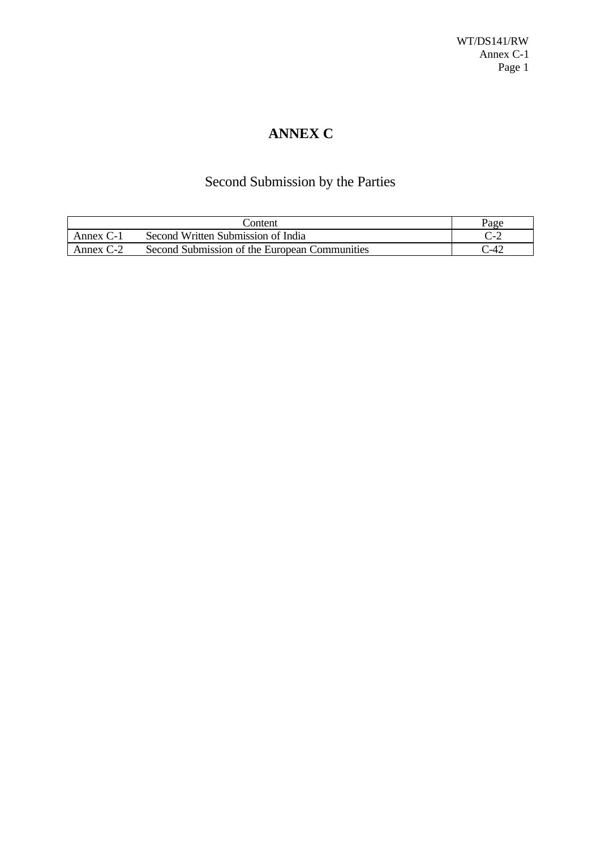# **ANNEX C**

# Second Submission by the Parties

|           | Content                                       | Page  |
|-----------|-----------------------------------------------|-------|
| Annex C-1 | Second Written Submission of India            | $C-2$ |
| Annex C-2 | Second Submission of the European Communities | '-42  |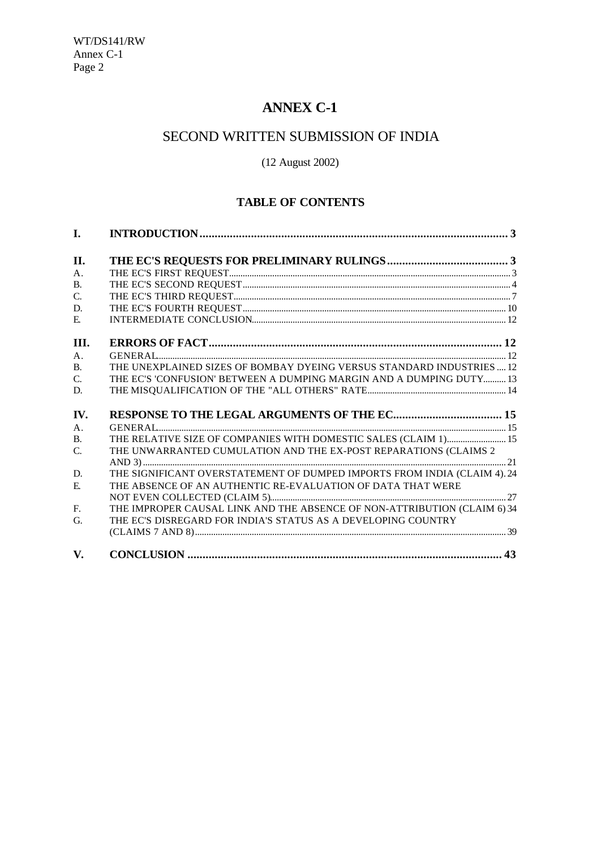# **ANNEX C-1**

# SECOND WRITTEN SUBMISSION OF INDIA

## (12 August 2002)

## **TABLE OF CONTENTS**

| I.              |                                                                          |  |
|-----------------|--------------------------------------------------------------------------|--|
| II.             |                                                                          |  |
| A <sub>1</sub>  |                                                                          |  |
| B.              |                                                                          |  |
| $\mathcal{C}$ . |                                                                          |  |
| D.              |                                                                          |  |
| E               |                                                                          |  |
| III.            |                                                                          |  |
| A <sub>1</sub>  |                                                                          |  |
| <b>B.</b>       | THE UNEXPLAINED SIZES OF BOMBAY DYEING VERSUS STANDARD INDUSTRIES 12     |  |
| $\mathcal{C}$ . | THE EC'S 'CONFUSION' BETWEEN A DUMPING MARGIN AND A DUMPING DUTY13       |  |
| D.              |                                                                          |  |
| IV.             |                                                                          |  |
| A.              |                                                                          |  |
| <b>B.</b>       | THE RELATIVE SIZE OF COMPANIES WITH DOMESTIC SALES (CLAIM 1) 15          |  |
| C.              | THE UNWARRANTED CUMULATION AND THE EX-POST REPARATIONS (CLAIMS 2         |  |
|                 |                                                                          |  |
| D.              | THE SIGNIFICANT OVERSTATEMENT OF DUMPED IMPORTS FROM INDIA (CLAIM 4).24  |  |
| E               | THE ABSENCE OF AN AUTHENTIC RE-EVALUATION OF DATA THAT WERE              |  |
|                 |                                                                          |  |
| $F_{\cdot}$     | THE IMPROPER CAUSAL LINK AND THE ABSENCE OF NON-ATTRIBUTION (CLAIM 6) 34 |  |
| G.              | THE EC'S DISREGARD FOR INDIA'S STATUS AS A DEVELOPING COUNTRY            |  |
|                 |                                                                          |  |
| V.              |                                                                          |  |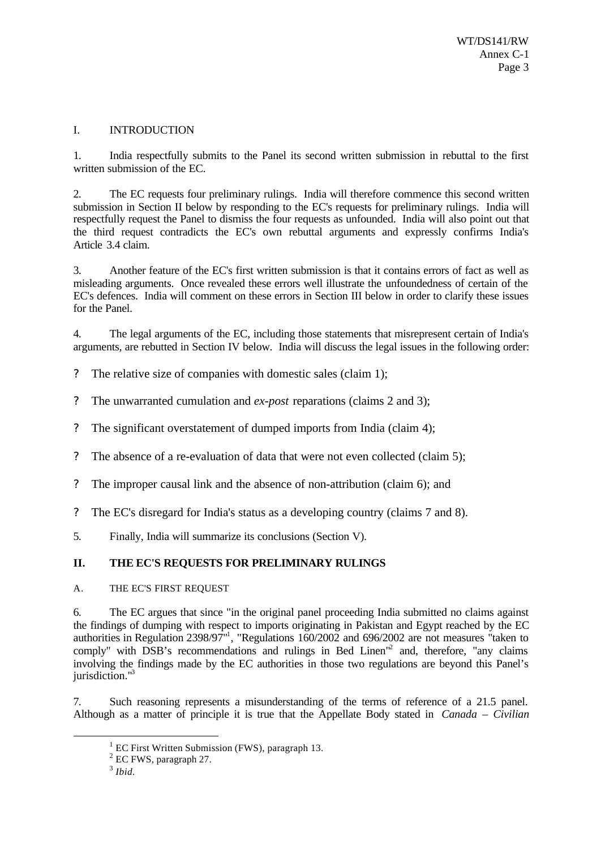## I. INTRODUCTION

1. India respectfully submits to the Panel its second written submission in rebuttal to the first written submission of the EC.

2. The EC requests four preliminary rulings. India will therefore commence this second written submission in Section II below by responding to the EC's requests for preliminary rulings. India will respectfully request the Panel to dismiss the four requests as unfounded. India will also point out that the third request contradicts the EC's own rebuttal arguments and expressly confirms India's Article 3.4 claim.

3. Another feature of the EC's first written submission is that it contains errors of fact as well as misleading arguments. Once revealed these errors well illustrate the unfoundedness of certain of the EC's defences. India will comment on these errors in Section III below in order to clarify these issues for the Panel.

4. The legal arguments of the EC, including those statements that misrepresent certain of India's arguments, are rebutted in Section IV below. India will discuss the legal issues in the following order:

- ? The relative size of companies with domestic sales (claim 1);
- ? The unwarranted cumulation and *ex-post* reparations (claims 2 and 3);
- ? The significant overstatement of dumped imports from India (claim 4);
- ? The absence of a re-evaluation of data that were not even collected (claim 5);
- ? The improper causal link and the absence of non-attribution (claim 6); and
- ? The EC's disregard for India's status as a developing country (claims 7 and 8).
- 5. Finally, India will summarize its conclusions (Section V).

## **II. THE EC'S REQUESTS FOR PRELIMINARY RULINGS**

#### A. THE EC'S FIRST REQUEST

6. The EC argues that since "in the original panel proceeding India submitted no claims against the findings of dumping with respect to imports originating in Pakistan and Egypt reached by the EC authorities in Regulation 2398/97"<sup>1</sup>, "Regulations 160/2002 and 696/2002 are not measures "taken to comply" with DSB's recommendations and rulings in Bed Linen<sup>12</sup> and, therefore, "any claims involving the findings made by the EC authorities in those two regulations are beyond this Panel's jurisdiction."<sup>3</sup>

7. Such reasoning represents a misunderstanding of the terms of reference of a 21.5 panel. Although as a matter of principle it is true that the Appellate Body stated in *Canada – Civilian*

 $1$  EC First Written Submission (FWS), paragraph 13.

 $2$  EC FWS, paragraph 27.

<sup>3</sup> *Ibid.*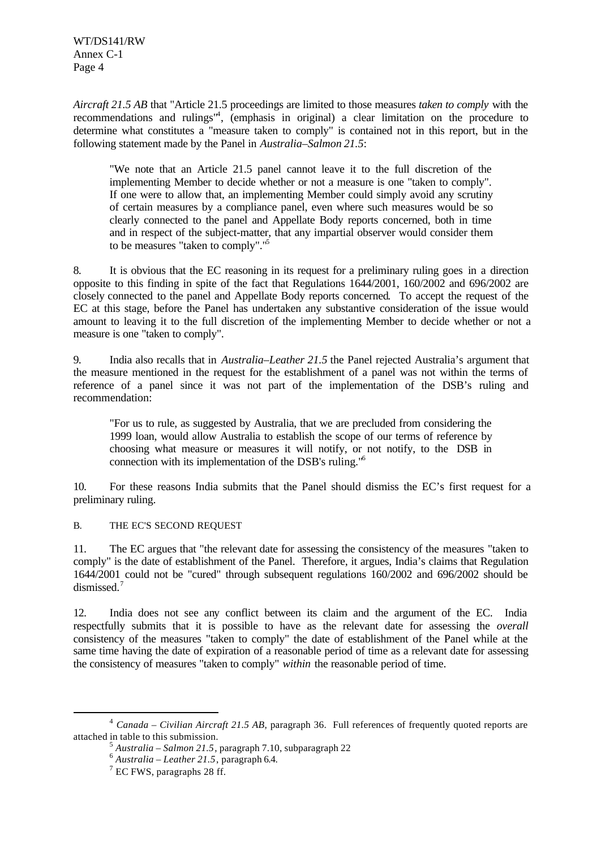WT/DS141/RW Annex C-1 Page 4

*Aircraft 21.5 AB* that "Article 21.5 proceedings are limited to those measures *taken to comply* with the recommendations and rulings<sup>"4</sup>, (emphasis in original) a clear limitation on the procedure to determine what constitutes a "measure taken to comply" is contained not in this report, but in the following statement made by the Panel in *Australia–Salmon 21.5*:

"We note that an Article 21.5 panel cannot leave it to the full discretion of the implementing Member to decide whether or not a measure is one "taken to comply". If one were to allow that, an implementing Member could simply avoid any scrutiny of certain measures by a compliance panel, even where such measures would be so clearly connected to the panel and Appellate Body reports concerned, both in time and in respect of the subject-matter, that any impartial observer would consider them to be measures "taken to comply"."<sup>5</sup>

8. It is obvious that the EC reasoning in its request for a preliminary ruling goes in a direction opposite to this finding in spite of the fact that Regulations 1644/2001, 160/2002 and 696/2002 are closely connected to the panel and Appellate Body reports concerned. To accept the request of the EC at this stage, before the Panel has undertaken any substantive consideration of the issue would amount to leaving it to the full discretion of the implementing Member to decide whether or not a measure is one "taken to comply".

9. India also recalls that in *Australia–Leather 21.5* the Panel rejected Australia's argument that the measure mentioned in the request for the establishment of a panel was not within the terms of reference of a panel since it was not part of the implementation of the DSB's ruling and recommendation:

"For us to rule, as suggested by Australia, that we are precluded from considering the 1999 loan, would allow Australia to establish the scope of our terms of reference by choosing what measure or measures it will notify, or not notify, to the DSB in connection with its implementation of the DSB's ruling."<sup>6</sup>

10. For these reasons India submits that the Panel should dismiss the EC's first request for a preliminary ruling.

## B. THE EC'S SECOND REQUEST

11. The EC argues that "the relevant date for assessing the consistency of the measures "taken to comply" is the date of establishment of the Panel. Therefore, it argues, India's claims that Regulation 1644/2001 could not be "cured" through subsequent regulations 160/2002 and 696/2002 should be dismissed.<sup>7</sup>

12. India does not see any conflict between its claim and the argument of the EC. India respectfully submits that it is possible to have as the relevant date for assessing the *overall* consistency of the measures "taken to comply" the date of establishment of the Panel while at the same time having the date of expiration of a reasonable period of time as a relevant date for assessing the consistency of measures "taken to comply" *within* the reasonable period of time.

<sup>4</sup> *Canada – Civilian Aircraft 21.5 AB*, paragraph 36. Full references of frequently quoted reports are attached in table to this submission.

<sup>5</sup> *Australia – Salmon 21.5*, paragraph 7.10, subparagraph 22 6 *Australia – Leather 21.5*, paragraph 6.4.

<sup>&</sup>lt;sup>7</sup> EC FWS, paragraphs 28 ff.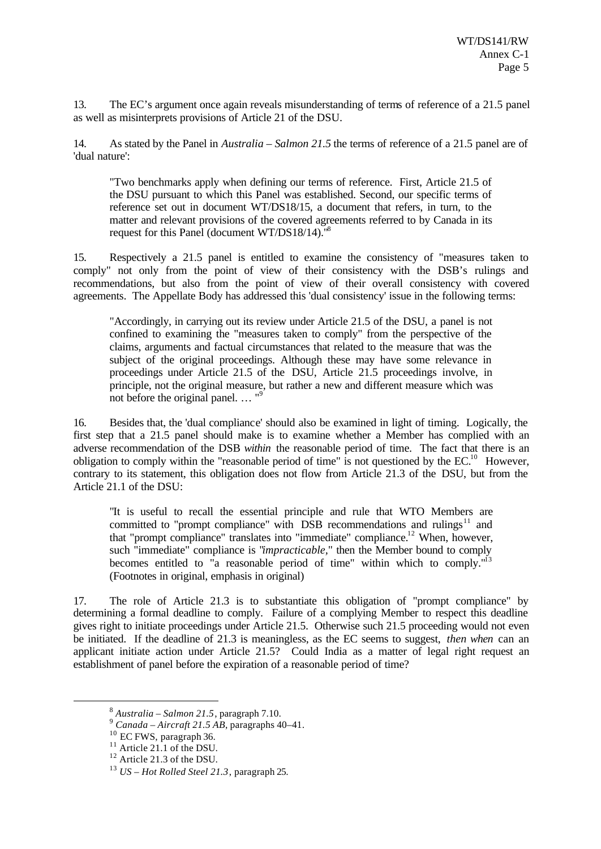13. The EC's argument once again reveals misunderstanding of terms of reference of a 21.5 panel as well as misinterprets provisions of Article 21 of the DSU.

14. As stated by the Panel in *Australia – Salmon 21.5* the terms of reference of a 21.5 panel are of 'dual nature':

"Two benchmarks apply when defining our terms of reference. First, Article 21.5 of the DSU pursuant to which this Panel was established. Second, our specific terms of reference set out in document WT/DS18/15, a document that refers, in turn, to the matter and relevant provisions of the covered agreements referred to by Canada in its request for this Panel (document WT/DS18/14)."<sup>8</sup>

15. Respectively a 21.5 panel is entitled to examine the consistency of "measures taken to comply" not only from the point of view of their consistency with the DSB's rulings and recommendations, but also from the point of view of their overall consistency with covered agreements. The Appellate Body has addressed this 'dual consistency' issue in the following terms:

"Accordingly, in carrying out its review under Article 21.5 of the DSU, a panel is not confined to examining the "measures taken to comply" from the perspective of the claims, arguments and factual circumstances that related to the measure that was the subject of the original proceedings. Although these may have some relevance in proceedings under Article 21.5 of the DSU, Article 21.5 proceedings involve, in principle, not the original measure, but rather a new and different measure which was not before the original panel. … "<sup>9</sup>

16. Besides that, the 'dual compliance' should also be examined in light of timing. Logically, the first step that a 21.5 panel should make is to examine whether a Member has complied with an adverse recommendation of the DSB *within* the reasonable period of time. The fact that there is an obligation to comply within the "reasonable period of time" is not questioned by the  $EC<sup>10</sup>$ . However, contrary to its statement, this obligation does not flow from Article 21.3 of the DSU, but from the Article 21.1 of the DSU:

"It is useful to recall the essential principle and rule that WTO Members are committed to "prompt compliance" with  $DSB$  recommendations and rulings<sup>11</sup> and that "prompt compliance" translates into "immediate" compliance.<sup>12</sup> When, however, such "immediate" compliance is "*impracticable,*" then the Member bound to comply becomes entitled to "a reasonable period of time" within which to comply.<sup>"13</sup> (Footnotes in original, emphasis in original)

17. The role of Article 21.3 is to substantiate this obligation of "prompt compliance" by determining a formal deadline to comply. Failure of a complying Member to respect this deadline gives right to initiate proceedings under Article 21.5. Otherwise such 21.5 proceeding would not even be initiated. If the deadline of 21.3 is meaningless, as the EC seems to suggest, *then when* can an applicant initiate action under Article 21.5? Could India as a matter of legal right request an establishment of panel before the expiration of a reasonable period of time?

<sup>8</sup> *Australia – Salmon 21.5*, paragraph 7.10.

<sup>9</sup> *Canada – Aircraft 21.5 AB*, paragraphs 40–41.

 $^{10}$  EC FWS, paragraph 36.

 $11$  Article 21.1 of the DSU.

 $12$  Article 21.3 of the DSU.

<sup>13</sup> *US – Hot Rolled Steel 21.3*, paragraph 25.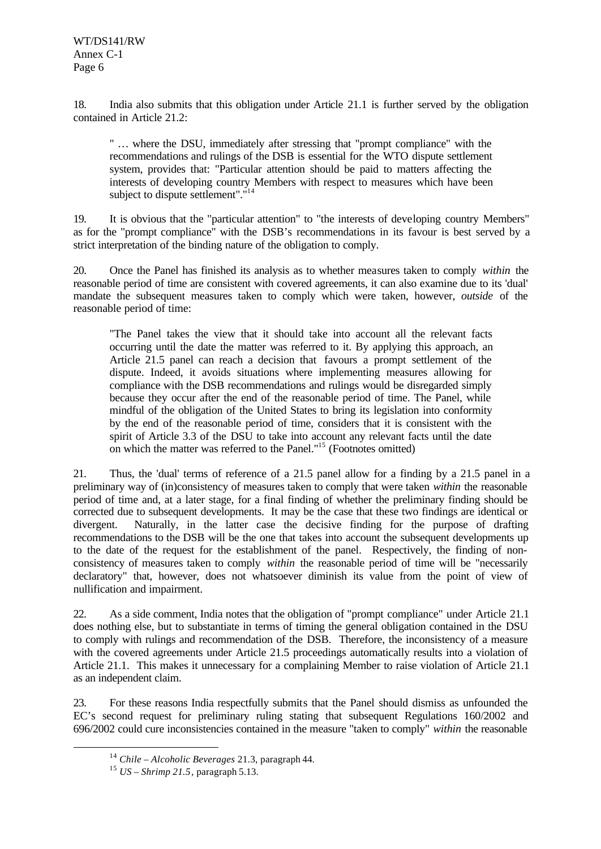WT/DS141/RW Annex C-1 Page 6

18. India also submits that this obligation under Article 21.1 is further served by the obligation contained in Article 21.2:

" … where the DSU, immediately after stressing that "prompt compliance" with the recommendations and rulings of the DSB is essential for the WTO dispute settlement system, provides that: "Particular attention should be paid to matters affecting the interests of developing country Members with respect to measures which have been subject to dispute settlement"."<sup>14</sup>

19. It is obvious that the "particular attention" to "the interests of developing country Members" as for the "prompt compliance" with the DSB's recommendations in its favour is best served by a strict interpretation of the binding nature of the obligation to comply.

20. Once the Panel has finished its analysis as to whether measures taken to comply *within* the reasonable period of time are consistent with covered agreements, it can also examine due to its 'dual' mandate the subsequent measures taken to comply which were taken, however, *outside* of the reasonable period of time:

"The Panel takes the view that it should take into account all the relevant facts occurring until the date the matter was referred to it. By applying this approach, an Article 21.5 panel can reach a decision that favours a prompt settlement of the dispute. Indeed, it avoids situations where implementing measures allowing for compliance with the DSB recommendations and rulings would be disregarded simply because they occur after the end of the reasonable period of time. The Panel, while mindful of the obligation of the United States to bring its legislation into conformity by the end of the reasonable period of time, considers that it is consistent with the spirit of Article 3.3 of the DSU to take into account any relevant facts until the date on which the matter was referred to the Panel."<sup>15</sup> (Footnotes omitted)

21. Thus, the 'dual' terms of reference of a 21.5 panel allow for a finding by a 21.5 panel in a preliminary way of (in)consistency of measures taken to comply that were taken *within* the reasonable period of time and, at a later stage, for a final finding of whether the preliminary finding should be corrected due to subsequent developments. It may be the case that these two findings are identical or divergent. Naturally, in the latter case the decisive finding for the purpose of drafting recommendations to the DSB will be the one that takes into account the subsequent developments up to the date of the request for the establishment of the panel. Respectively, the finding of nonconsistency of measures taken to comply *within* the reasonable period of time will be "necessarily declaratory" that, however, does not whatsoever diminish its value from the point of view of nullification and impairment.

22. As a side comment, India notes that the obligation of "prompt compliance" under Article 21.1 does nothing else, but to substantiate in terms of timing the general obligation contained in the DSU to comply with rulings and recommendation of the DSB. Therefore, the inconsistency of a measure with the covered agreements under Article 21.5 proceedings automatically results into a violation of Article 21.1. This makes it unnecessary for a complaining Member to raise violation of Article 21.1 as an independent claim.

23. For these reasons India respectfully submits that the Panel should dismiss as unfounded the EC's second request for preliminary ruling stating that subsequent Regulations 160/2002 and 696/2002 could cure inconsistencies contained in the measure "taken to comply" *within* the reasonable

<sup>14</sup> *Chile – Alcoholic Beverages* 21.3, paragraph 44.

<sup>15</sup> *US – Shrimp 21.5*, paragraph 5.13.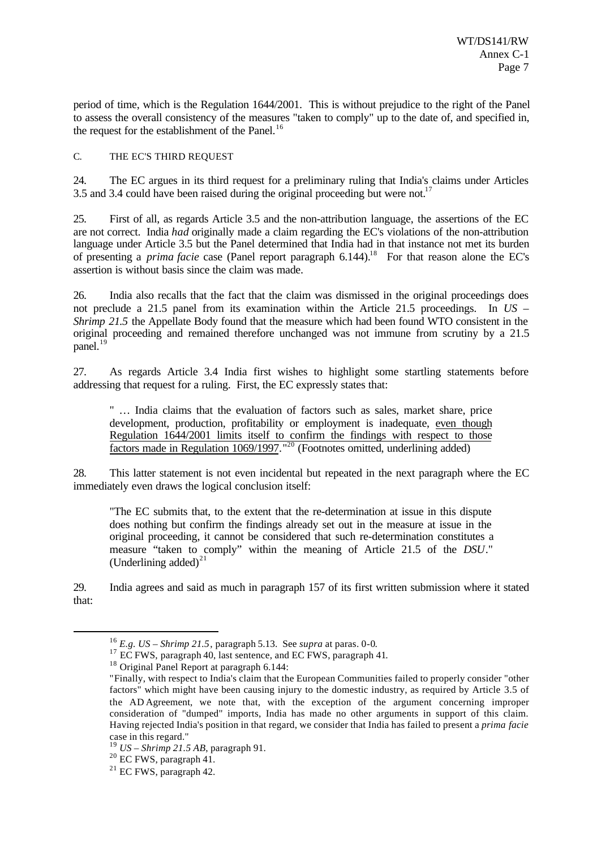period of time, which is the Regulation 1644/2001. This is without prejudice to the right of the Panel to assess the overall consistency of the measures "taken to comply" up to the date of, and specified in, the request for the establishment of the Panel.<sup>16</sup>

C. THE EC'S THIRD REQUEST

24. The EC argues in its third request for a preliminary ruling that India's claims under Articles 3.5 and 3.4 could have been raised during the original proceeding but were not.<sup>17</sup>

25. First of all, as regards Article 3.5 and the non-attribution language, the assertions of the EC are not correct. India *had* originally made a claim regarding the EC's violations of the non-attribution language under Article 3.5 but the Panel determined that India had in that instance not met its burden of presenting a *prima facie* case (Panel report paragraph 6.144).<sup>18</sup> For that reason alone the EC's assertion is without basis since the claim was made.

26. India also recalls that the fact that the claim was dismissed in the original proceedings does not preclude a 21.5 panel from its examination within the Article 21.5 proceedings. In *US – Shrimp 21.5* the Appellate Body found that the measure which had been found WTO consistent in the original proceeding and remained therefore unchanged was not immune from scrutiny by a 21.5 panel.<sup>19</sup>

27. As regards Article 3.4 India first wishes to highlight some startling statements before addressing that request for a ruling. First, the EC expressly states that:

" … India claims that the evaluation of factors such as sales, market share, price development, production, profitability or employment is inadequate, even though Regulation 1644/2001 limits itself to confirm the findings with respect to those factors made in Regulation 1069/1997."<sup>20</sup> (Footnotes omitted, underlining added)

28. This latter statement is not even incidental but repeated in the next paragraph where the EC immediately even draws the logical conclusion itself:

"The EC submits that, to the extent that the re-determination at issue in this dispute does nothing but confirm the findings already set out in the measure at issue in the original proceeding, it cannot be considered that such re-determination constitutes a measure "taken to comply" within the meaning of Article 21.5 of the *DSU*." (Underlining added) $^{21}$ 

29. India agrees and said as much in paragraph 157 of its first written submission where it stated that:

<sup>16</sup> *E.g. US – Shrimp 21.5*, paragraph 5.13. See *supra* at paras. 0-0.

<sup>&</sup>lt;sup>17</sup> EC FWS, paragraph 40, last sentence, and EC FWS, paragraph 41.

<sup>18</sup> Original Panel Report at paragraph 6.144:

<sup>&</sup>quot;Finally, with respect to India's claim that the European Communities failed to properly consider "other factors" which might have been causing injury to the domestic industry, as required by Article 3.5 of the AD Agreement, we note that, with the exception of the argument concerning improper consideration of "dumped" imports, India has made no other arguments in support of this claim. Having rejected India's position in that regard, we consider that India has failed to present a *prima facie* case in this regard."

<sup>19</sup> *US – Shrimp 21.5 AB*, paragraph 91.

<sup>&</sup>lt;sup>20</sup> EC FWS, paragraph 41.

 $21$  EC FWS, paragraph 42.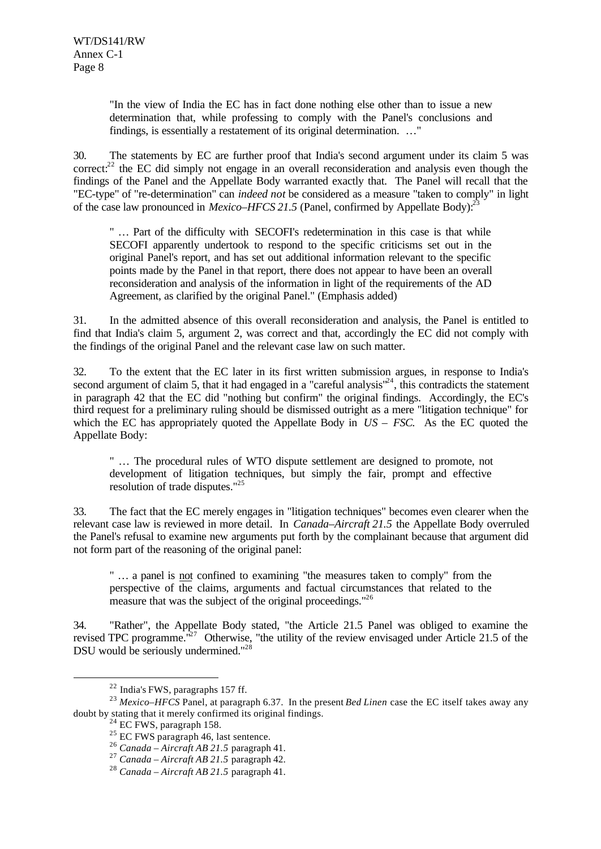"In the view of India the EC has in fact done nothing else other than to issue a new determination that, while professing to comply with the Panel's conclusions and findings, is essentially a restatement of its original determination. …"

30. The statements by EC are further proof that India's second argument under its claim 5 was correct: $2<sup>2</sup>$  the EC did simply not engage in an overall reconsideration and analysis even though the findings of the Panel and the Appellate Body warranted exactly that. The Panel will recall that the "EC-type" of "re-determination" can *indeed not* be considered as a measure "taken to comply" in light of the case law pronounced in *Mexico–HFCS 21.5* (Panel, confirmed by Appellate Body):<sup>23</sup>

" … Part of the difficulty with SECOFI's redetermination in this case is that while SECOFI apparently undertook to respond to the specific criticisms set out in the original Panel's report, and has set out additional information relevant to the specific points made by the Panel in that report, there does not appear to have been an overall reconsideration and analysis of the information in light of the requirements of the AD Agreement, as clarified by the original Panel." (Emphasis added)

31. In the admitted absence of this overall reconsideration and analysis, the Panel is entitled to find that India's claim 5, argument 2, was correct and that, accordingly the EC did not comply with the findings of the original Panel and the relevant case law on such matter.

32. To the extent that the EC later in its first written submission argues, in response to India's second argument of claim 5, that it had engaged in a "careful analysis"<sup>24</sup>, this contradicts the statement in paragraph 42 that the EC did "nothing but confirm" the original findings. Accordingly, the EC's third request for a preliminary ruling should be dismissed outright as a mere "litigation technique" for which the EC has appropriately quoted the Appellate Body in *US – FSC.* As the EC quoted the Appellate Body:

" … The procedural rules of WTO dispute settlement are designed to promote, not development of litigation techniques, but simply the fair, prompt and effective resolution of trade disputes."<sup>25</sup>

33. The fact that the EC merely engages in "litigation techniques" becomes even clearer when the relevant case law is reviewed in more detail. In *Canada–Aircraft 21.5* the Appellate Body overruled the Panel's refusal to examine new arguments put forth by the complainant because that argument did not form part of the reasoning of the original panel:

" … a panel is not confined to examining "the measures taken to comply" from the perspective of the claims, arguments and factual circumstances that related to the measure that was the subject of the original proceedings."<sup>26</sup>

34. "Rather", the Appellate Body stated, "the Article 21.5 Panel was obliged to examine the revised TPC programme. $\mathbb{R}^{27}$  Otherwise, "the utility of the review envisaged under Article 21.5 of the DSU would be seriously undermined."<sup>28</sup>

 $22$  India's FWS, paragraphs 157 ff.

<sup>23</sup> *Mexico–HFCS* Panel, at paragraph 6.37. In the present *Bed Linen* case the EC itself takes away any doubt by stating that it merely confirmed its original findings.

 $24$  EC FWS, paragraph 158.

 $^{25}$  EC FWS paragraph 46, last sentence.

<sup>26</sup> *Canada – Aircraft AB 21.5* paragraph 41.

<sup>27</sup> *Canada – Aircraft AB 21.5* paragraph 42.

<sup>28</sup> *Canada – Aircraft AB 21.5* paragraph 41.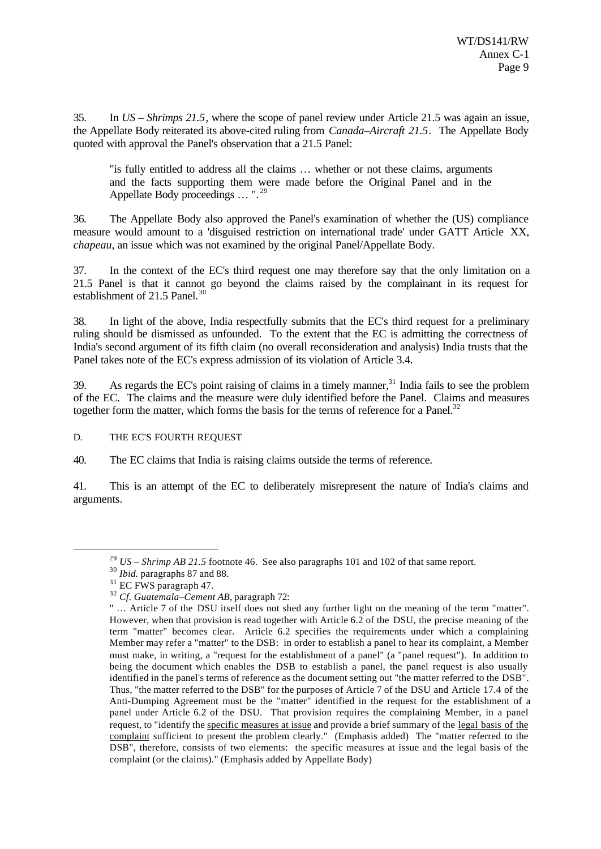35. In *US – Shrimps 21.5*, where the scope of panel review under Article 21.5 was again an issue, the Appellate Body reiterated its above-cited ruling from *Canada–Aircraft 21.5*. The Appellate Body quoted with approval the Panel's observation that a 21.5 Panel:

"is fully entitled to address all the claims … whether or not these claims, arguments and the facts supporting them were made before the Original Panel and in the Appellate Body proceedings ... ".<sup>29</sup>

36. The Appellate Body also approved the Panel's examination of whether the (US) compliance measure would amount to a 'disguised restriction on international trade' under GATT Article XX, *chapeau*, an issue which was not examined by the original Panel/Appellate Body.

37. In the context of the EC's third request one may therefore say that the only limitation on a 21.5 Panel is that it cannot go beyond the claims raised by the complainant in its request for establishment of 21.5 Panel.<sup>30</sup>

38. In light of the above, India respectfully submits that the EC's third request for a preliminary ruling should be dismissed as unfounded. To the extent that the EC is admitting the correctness of India's second argument of its fifth claim (no overall reconsideration and analysis) India trusts that the Panel takes note of the EC's express admission of its violation of Article 3.4.

39. As regards the EC's point raising of claims in a timely manner, $31$  India fails to see the problem of the EC. The claims and the measure were duly identified before the Panel. Claims and measures together form the matter, which forms the basis for the terms of reference for a Panel.<sup>32</sup>

D. THE EC'S FOURTH REQUEST

40. The EC claims that India is raising claims outside the terms of reference.

41. This is an attempt of the EC to deliberately misrepresent the nature of India's claims and arguments.

<sup>29</sup> *US – Shrimp AB 21.5* footnote 46. See also paragraphs 101 and 102 of that same report.

<sup>30</sup> *Ibid.* paragraphs 87 and 88.

 $31$  EC FWS paragraph 47.

<sup>32</sup> *Cf. Guatemala–Cement AB*, paragraph 72:

<sup>&</sup>quot; ... Article 7 of the DSU itself does not shed any further light on the meaning of the term "matter". However, when that provision is read together with Article 6.2 of the DSU, the precise meaning of the term "matter" becomes clear. Article 6.2 specifies the requirements under which a complaining Member may refer a "matter" to the DSB: in order to establish a panel to hear its complaint, a Member must make, in writing, a "request for the establishment of a panel" (a "panel request"). In addition to being the document which enables the DSB to establish a panel, the panel request is also usually identified in the panel's terms of reference as the document setting out "the matter referred to the DSB". Thus, "the matter referred to the DSB" for the purposes of Article 7 of the DSU and Article 17.4 of the Anti-Dumping Agreement must be the "matter" identified in the request for the establishment of a panel under Article 6.2 of the DSU. That provision requires the complaining Member, in a panel request, to "identify the specific measures at issue and provide a brief summary of the legal basis of the complaint sufficient to present the problem clearly." (Emphasis added) The "matter referred to the DSB", therefore, consists of two elements: the specific measures at issue and the legal basis of the complaint (or the claims)." (Emphasis added by Appellate Body)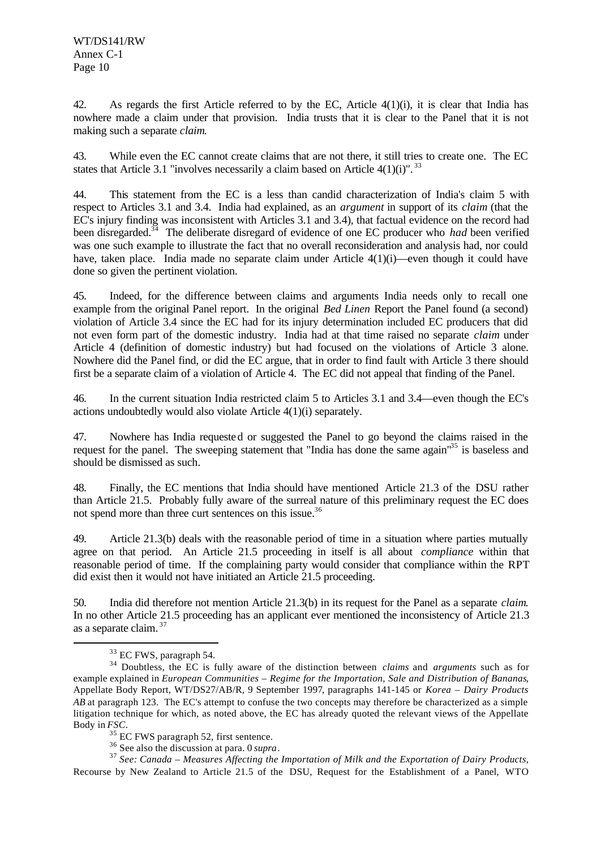WT/DS141/RW Annex C-1 Page 10

42. As regards the first Article referred to by the EC, Article  $4(1)(i)$ , it is clear that India has nowhere made a claim under that provision. India trusts that it is clear to the Panel that it is not making such a separate *claim*.

43. While even the EC cannot create claims that are not there, it still tries to create one. The EC states that Article 3.1 "involves necessarily a claim based on Article  $4(1)(i)$ ".<sup>33</sup>

44. This statement from the EC is a less than candid characterization of India's claim 5 with respect to Articles 3.1 and 3.4. India had explained, as an *argument* in support of its *claim* (that the EC's injury finding was inconsistent with Articles 3.1 and 3.4), that factual evidence on the record had been disregarded.<sup>34</sup> The deliberate disregard of evidence of one EC producer who *had* been verified was one such example to illustrate the fact that no overall reconsideration and analysis had, nor could have, taken place. India made no separate claim under Article 4(1)(i)—even though it could have done so given the pertinent violation.

45. Indeed, for the difference between claims and arguments India needs only to recall one example from the original Panel report. In the original *Bed Linen* Report the Panel found (a second) violation of Article 3.4 since the EC had for its injury determination included EC producers that did not even form part of the domestic industry. India had at that time raised no separate *claim* under Article 4 (definition of domestic industry) but had focused on the violations of Article 3 alone. Nowhere did the Panel find, or did the EC argue, that in order to find fault with Article 3 there should first be a separate claim of a violation of Article 4. The EC did not appeal that finding of the Panel.

46. In the current situation India restricted claim 5 to Articles 3.1 and 3.4—even though the EC's actions undoubtedly would also violate Article 4(1)(i) separately.

47. Nowhere has India requested or suggested the Panel to go beyond the claims raised in the request for the panel. The sweeping statement that "India has done the same again"<sup>35</sup> is baseless and should be dismissed as such.

48. Finally, the EC mentions that India should have mentioned Article 21.3 of the DSU rather than Article 21.5. Probably fully aware of the surreal nature of this preliminary request the EC does not spend more than three curt sentences on this issue.<sup>36</sup>

49. Article 21.3(b) deals with the reasonable period of time in a situation where parties mutually agree on that period. An Article 21.5 proceeding in itself is all about *compliance* within that reasonable period of time. If the complaining party would consider that compliance within the RPT did exist then it would not have initiated an Article 21.5 proceeding.

50. India did therefore not mention Article 21.3(b) in its request for the Panel as a separate *claim*. In no other Article 21.5 proceeding has an applicant ever mentioned the inconsistency of Article 21.3 as a separate claim. <sup>37</sup>

l

<sup>36</sup> See also the discussion at para. 0 *supra*.

<sup>37</sup> *See: Canada – Measures Affecting the Importation of Milk and the Exportation of Dairy Products*, Recourse by New Zealand to Article 21.5 of the DSU, Request for the Establishment of a Panel, WTO

<sup>&</sup>lt;sup>33</sup> EC FWS, paragraph 54.

<sup>34</sup> Doubtless, the EC is fully aware of the distinction between *claims* and *arguments* such as for example explained in *European Communities – Regime for the Importation, Sale and Distribution of Bananas*, Appellate Body Report, WT/DS27/AB/R, 9 September 1997, paragraphs 141-145 or *Korea – Dairy Products AB* at paragraph 123. The EC's attempt to confuse the two concepts may therefore be characterized as a simple litigation technique for which, as noted above, the EC has already quoted the relevant views of the Appellate Body in *FSC*.

 $35$  EC FWS paragraph 52, first sentence.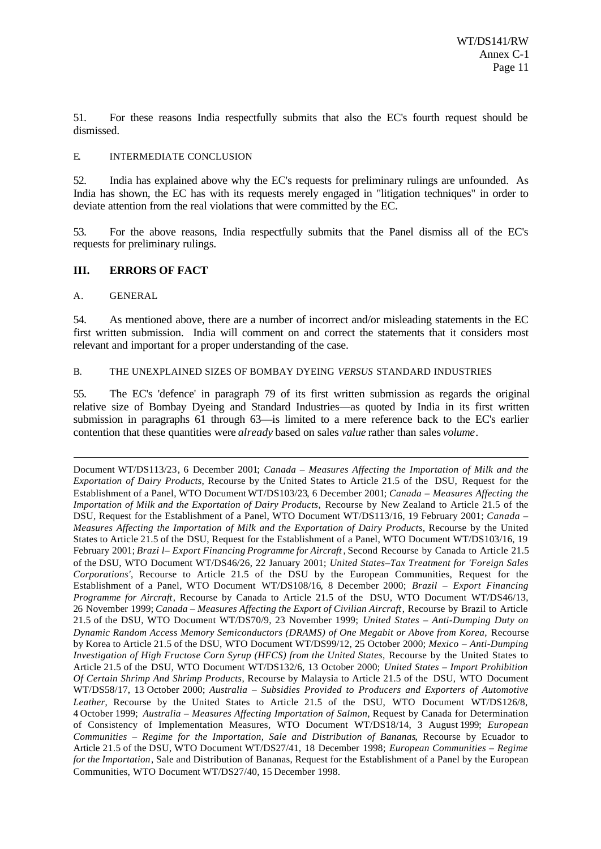51. For these reasons India respectfully submits that also the EC's fourth request should be dismissed.

#### E. INTERMEDIATE CONCLUSION

52. India has explained above why the EC's requests for preliminary rulings are unfounded. As India has shown, the EC has with its requests merely engaged in "litigation techniques" in order to deviate attention from the real violations that were committed by the EC.

53. For the above reasons, India respectfully submits that the Panel dismiss all of the EC's requests for preliminary rulings.

## **III. ERRORS OF FACT**

#### A. GENERAL

l

54. As mentioned above, there are a number of incorrect and/or misleading statements in the EC first written submission. India will comment on and correct the statements that it considers most relevant and important for a proper understanding of the case.

#### B. THE UNEXPLAINED SIZES OF BOMBAY DYEING *VERSUS* STANDARD INDUSTRIES

55. The EC's 'defence' in paragraph 79 of its first written submission as regards the original relative size of Bombay Dyeing and Standard Industries—as quoted by India in its first written submission in paragraphs 61 through 63—is limited to a mere reference back to the EC's earlier contention that these quantities were *already* based on sales *value* rather than sales *volume*.

Document WT/DS113/23, 6 December 2001; *Canada – Measures Affecting the Importation of Milk and the Exportation of Dairy Products*, Recourse by the United States to Article 21.5 of the DSU, Request for the Establishment of a Panel, WTO Document WT/DS103/23, 6 December 2001; *Canada – Measures Affecting the Importation of Milk and the Exportation of Dairy Products*, Recourse by New Zealand to Article 21.5 of the DSU, Request for the Establishment of a Panel, WTO Document WT/DS113/16, 19 February 2001; *Canada – Measures Affecting the Importation of Milk and the Exportation of Dairy Products*, Recourse by the United States to Article 21.5 of the DSU, Request for the Establishment of a Panel, WTO Document WT/DS103/16, 19 February 2001; *Brazi l– Export Financing Programme for Aircraft* , Second Recourse by Canada to Article 21.5 of the DSU, WTO Document WT/DS46/26, 22 January 2001; *United States–Tax Treatment for 'Foreign Sales Corporations'*, Recourse to Article 21.5 of the DSU by the European Communities, Request for the Establishment of a Panel, WTO Document WT/DS108/16, 8 December 2000; *Brazil – Export Financing Programme for Aircraft*, Recourse by Canada to Article 21.5 of the DSU, WTO Document WT/DS46/13, 26 November 1999; *Canada – Measures Affecting the Export of Civilian Aircraft*, Recourse by Brazil to Article 21.5 of the DSU, WTO Document WT/DS70/9, 23 November 1999; *United States – Anti-Dumping Duty on Dynamic Random Access Memory Semiconductors (DRAMS) of One Megabit or Above from Korea*, Recourse by Korea to Article 21.5 of the DSU, WTO Document WT/DS99/12, 25 October 2000; *Mexico – Anti-Dumping Investigation of High Fructose Corn Syrup (HFCS) from the United States*, Recourse by the United States to Article 21.5 of the DSU, WTO Document WT/DS132/6, 13 October 2000; *United States – Import Prohibition Of Certain Shrimp And Shrimp Products*, Recourse by Malaysia to Article 21.5 of the DSU, WTO Document WT/DS58/17, 13 October 2000; *Australia – Subsidies Provided to Producers and Exporters of Automotive Leather*, Recourse by the United States to Article 21.5 of the DSU, WTO Document WT/DS126/8, 4 October 1999; *Australia – Measures Affecting Importation of Salmon*, Request by Canada for Determination of Consistency of Implementation Measures, WTO Document WT/DS18/14, 3 August 1999; *European Communities – Regime for the Importation, Sale and Distribution of Bananas*, Recourse by Ecuador to Article 21.5 of the DSU, WTO Document WT/DS27/41, 18 December 1998; *European Communities – Regime for the Importation*, Sale and Distribution of Bananas, Request for the Establishment of a Panel by the European Communities, WTO Document WT/DS27/40, 15 December 1998.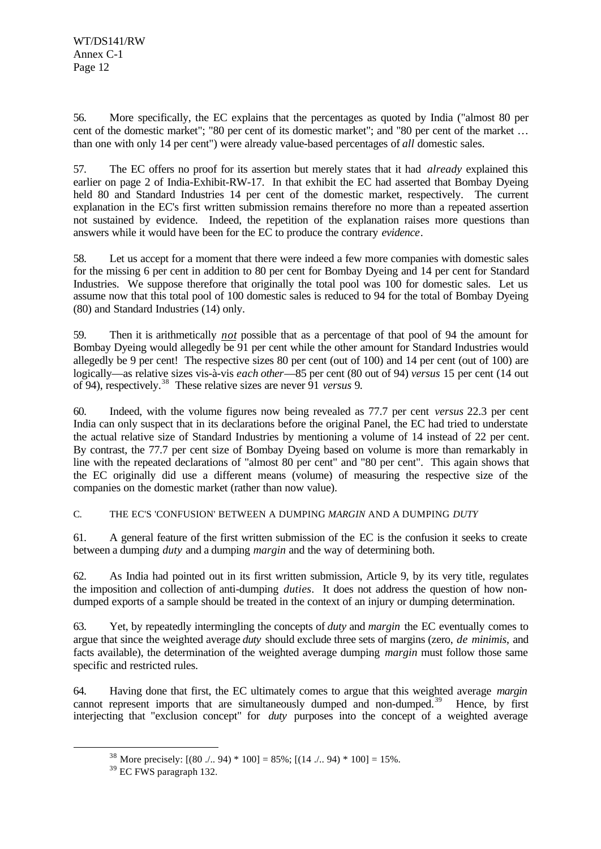56. More specifically, the EC explains that the percentages as quoted by India ("almost 80 per cent of the domestic market"; "80 per cent of its domestic market"; and "80 per cent of the market … than one with only 14 per cent") were already value-based percentages of *all* domestic sales.

57. The EC offers no proof for its assertion but merely states that it had *already* explained this earlier on page 2 of India-Exhibit-RW-17. In that exhibit the EC had asserted that Bombay Dyeing held 80 and Standard Industries 14 per cent of the domestic market, respectively. The current explanation in the EC's first written submission remains therefore no more than a repeated assertion not sustained by evidence. Indeed, the repetition of the explanation raises more questions than answers while it would have been for the EC to produce the contrary *evidence*.

58. Let us accept for a moment that there were indeed a few more companies with domestic sales for the missing 6 per cent in addition to 80 per cent for Bombay Dyeing and 14 per cent for Standard Industries. We suppose therefore that originally the total pool was 100 for domestic sales. Let us assume now that this total pool of 100 domestic sales is reduced to 94 for the total of Bombay Dyeing (80) and Standard Industries (14) only.

59. Then it is arithmetically *not* possible that as a percentage of that pool of 94 the amount for Bombay Dyeing would allegedly be 91 per cent while the other amount for Standard Industries would allegedly be 9 per cent! The respective sizes 80 per cent (out of 100) and 14 per cent (out of 100) are logically—as relative sizes vis-à-vis *each other*—85 per cent (80 out of 94) *versus* 15 per cent (14 out of 94), respectively.<sup>38</sup> These relative sizes are never 91 *versus* 9.

60. Indeed, with the volume figures now being revealed as 77.7 per cent *versus* 22.3 per cent India can only suspect that in its declarations before the original Panel, the EC had tried to understate the actual relative size of Standard Industries by mentioning a volume of 14 instead of 22 per cent. By contrast, the 77.7 per cent size of Bombay Dyeing based on volume is more than remarkably in line with the repeated declarations of "almost 80 per cent" and "80 per cent". This again shows that the EC originally did use a different means (volume) of measuring the respective size of the companies on the domestic market (rather than now value).

## C. THE EC'S 'CONFUSION' BETWEEN A DUMPING *MARGIN* AND A DUMPING *DUTY*

61. A general feature of the first written submission of the EC is the confusion it seeks to create between a dumping *duty* and a dumping *margin* and the way of determining both.

62. As India had pointed out in its first written submission, Article 9, by its very title, regulates the imposition and collection of anti-dumping *duties*. It does not address the question of how nondumped exports of a sample should be treated in the context of an injury or dumping determination.

63. Yet, by repeatedly intermingling the concepts of *duty* and *margin* the EC eventually comes to argue that since the weighted average *duty* should exclude three sets of margins (zero, *de minimis*, and facts available), the determination of the weighted average dumping *margin* must follow those same specific and restricted rules.

64. Having done that first, the EC ultimately comes to argue that this weighted average *margin* cannot represent imports that are simultaneously dumped and non-dumped.<sup>39</sup> Hence, by first interjecting that "exclusion concept" for *duty* purposes into the concept of a weighted average

<sup>&</sup>lt;sup>38</sup> More precisely:  $[(80 \ldots 94) * 100] = 85\%; [(14 \ldots 94) * 100] = 15\%$ .

<sup>&</sup>lt;sup>39</sup> EC FWS paragraph 132.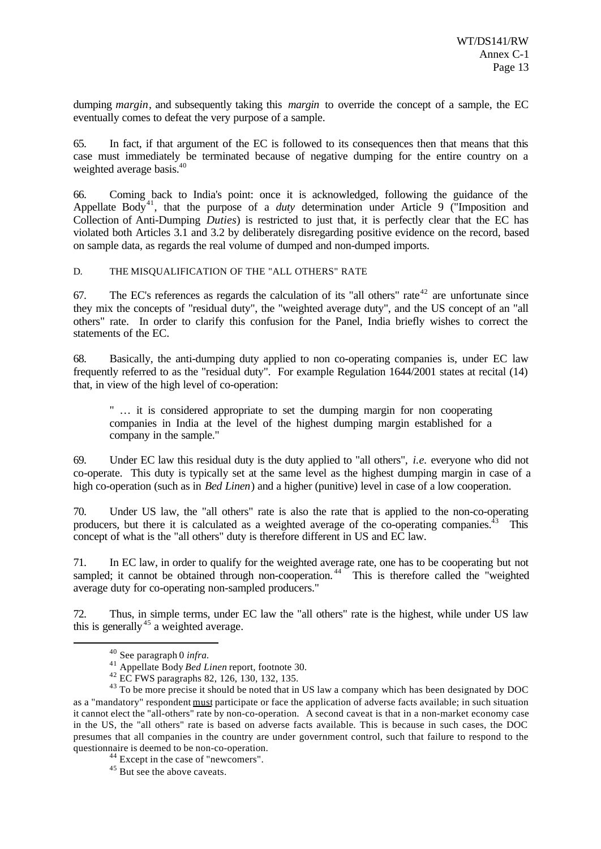dumping *margin*, and subsequently taking this *margin* to override the concept of a sample, the EC eventually comes to defeat the very purpose of a sample.

65. In fact, if that argument of the EC is followed to its consequences then that means that this case must immediately be terminated because of negative dumping for the entire country on a weighted average basis.<sup>40</sup>

66. Coming back to India's point: once it is acknowledged, following the guidance of the Appellate Body<sup>41</sup>, that the purpose of a *duty* determination under Article 9 ("Imposition and Collection of Anti-Dumping *Duties*) is restricted to just that, it is perfectly clear that the EC has violated both Articles 3.1 and 3.2 by deliberately disregarding positive evidence on the record, based on sample data, as regards the real volume of dumped and non-dumped imports.

D. THE MISQUALIFICATION OF THE "ALL OTHERS" RATE

67. The EC's references as regards the calculation of its "all others" rate<sup>42</sup> are unfortunate since they mix the concepts of "residual duty", the "weighted average duty", and the US concept of an "all others" rate. In order to clarify this confusion for the Panel, India briefly wishes to correct the statements of the EC.

68. Basically, the anti-dumping duty applied to non co-operating companies is, under EC law frequently referred to as the "residual duty". For example Regulation 1644/2001 states at recital (14) that, in view of the high level of co-operation:

" … it is considered appropriate to set the dumping margin for non cooperating companies in India at the level of the highest dumping margin established for a company in the sample."

69. Under EC law this residual duty is the duty applied to "all others", *i.e.* everyone who did not co-operate. This duty is typically set at the same level as the highest dumping margin in case of a high co-operation (such as in *Bed Linen*) and a higher (punitive) level in case of a low cooperation.

70. Under US law, the "all others" rate is also the rate that is applied to the non-co-operating producers, but there it is calculated as a weighted average of the co-operating companies. $^{43}$  This concept of what is the "all others" duty is therefore different in US and EC law.

71. In EC law, in order to qualify for the weighted average rate, one has to be cooperating but not sampled; it cannot be obtained through non-cooperation.<sup>44</sup> This is therefore called the "weighted" average duty for co-operating non-sampled producers."

72. Thus, in simple terms, under EC law the "all others" rate is the highest, while under US law this is generally<sup>45</sup> a weighted average.

<sup>40</sup> See paragraph 0 *infra.*

<sup>41</sup> Appellate Body *Bed Linen* report, footnote 30.

<sup>&</sup>lt;sup>42</sup> EC FWS paragraphs 82, 126, 130, 132, 135.

<sup>&</sup>lt;sup>43</sup> To be more precise it should be noted that in US law a company which has been designated by DOC as a "mandatory" respondent must participate or face the application of adverse facts available; in such situation it cannot elect the "all-others" rate by non-co-operation. A second caveat is that in a non-market economy case in the US, the "all others" rate is based on adverse facts available. This is because in such cases, the DOC presumes that all companies in the country are under government control, such that failure to respond to the questionnaire is deemed to be non-co-operation.

<sup>&</sup>lt;sup>44</sup> Except in the case of "newcomers".

<sup>&</sup>lt;sup>45</sup> But see the above caveats.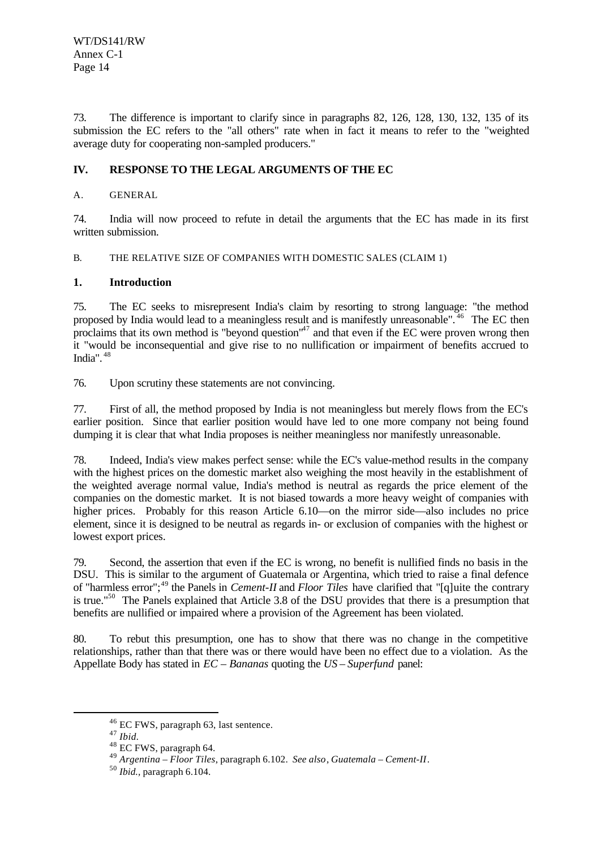73. The difference is important to clarify since in paragraphs 82, 126, 128, 130, 132, 135 of its submission the EC refers to the "all others" rate when in fact it means to refer to the "weighted average duty for cooperating non-sampled producers."

## **IV. RESPONSE TO THE LEGAL ARGUMENTS OF THE EC**

#### A. GENERAL

74. India will now proceed to refute in detail the arguments that the EC has made in its first written submission.

#### B. THE RELATIVE SIZE OF COMPANIES WITH DOMESTIC SALES (CLAIM 1)

#### **1. Introduction**

75. The EC seeks to misrepresent India's claim by resorting to strong language: "the method proposed by India would lead to a meaningless result and is manifestly unreasonable".<sup>46</sup> The EC then proclaims that its own method is "beyond question"<sup>47</sup> and that even if the EC were proven wrong then it "would be inconsequential and give rise to no nullification or impairment of benefits accrued to India". <sup>48</sup>

76. Upon scrutiny these statements are not convincing.

77. First of all, the method proposed by India is not meaningless but merely flows from the EC's earlier position. Since that earlier position would have led to one more company not being found dumping it is clear that what India proposes is neither meaningless nor manifestly unreasonable.

78. Indeed, India's view makes perfect sense: while the EC's value-method results in the company with the highest prices on the domestic market also weighing the most heavily in the establishment of the weighted average normal value, India's method is neutral as regards the price element of the companies on the domestic market. It is not biased towards a more heavy weight of companies with higher prices. Probably for this reason Article 6.10—on the mirror side—also includes no price element, since it is designed to be neutral as regards in- or exclusion of companies with the highest or lowest export prices.

79. Second, the assertion that even if the EC is wrong, no benefit is nullified finds no basis in the DSU. This is similar to the argument of Guatemala or Argentina, which tried to raise a final defence of "harmless error";<sup>49</sup> the Panels in *Cement-II* and *Floor Tiles* have clarified that "[q]uite the contrary is true."<sup>50</sup> The Panels explained that Article 3.8 of the DSU provides that there is a presumption that benefits are nullified or impaired where a provision of the Agreement has been violated.

80. To rebut this presumption, one has to show that there was no change in the competitive relationships, rather than that there was or there would have been no effect due to a violation. As the Appellate Body has stated in *EC – Bananas* quoting the *US – Superfund* panel:

<sup>46</sup> EC FWS, paragraph 63, last sentence.

<sup>47</sup> *Ibid.*

<sup>&</sup>lt;sup>48</sup> EC FWS, paragraph 64.

<sup>49</sup> *Argentina – Floor Tiles*, paragraph 6.102. *See also*, *Guatemala – Cement-II*.

<sup>50</sup> *Ibid.,* paragraph 6.104.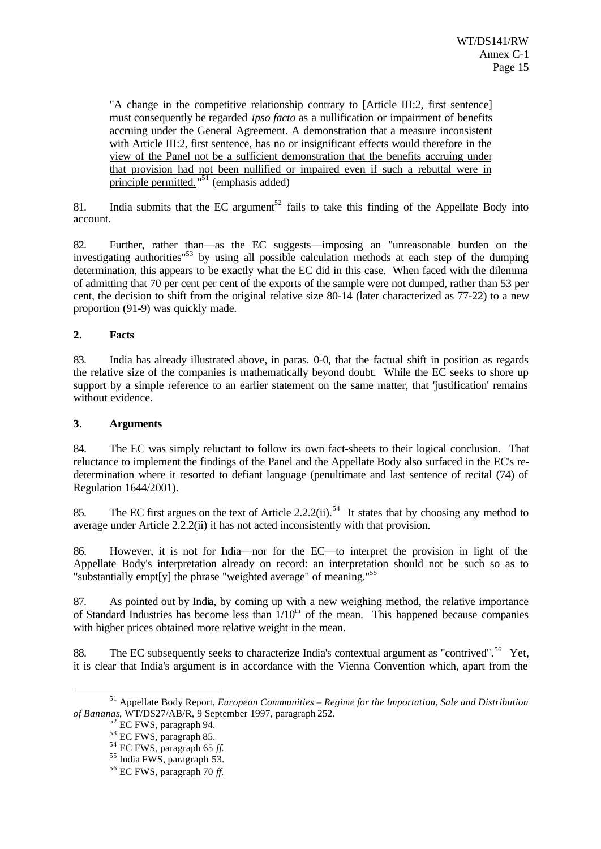"A change in the competitive relationship contrary to [Article III:2, first sentence] must consequently be regarded *ipso facto* as a nullification or impairment of benefits accruing under the General Agreement. A demonstration that a measure inconsistent with Article III:2, first sentence, has no or insignificant effects would therefore in the view of the Panel not be a sufficient demonstration that the benefits accruing under that provision had not been nullified or impaired even if such a rebuttal were in principle permitted. "<sup>51</sup> (emphasis added)

81. India submits that the EC argument<sup>52</sup> fails to take this finding of the Appellate Body into account.

82. Further, rather than—as the EC suggests—imposing an "unreasonable burden on the investigating authorities"<sup>53</sup> by using all possible calculation methods at each step of the dumping determination, this appears to be exactly what the EC did in this case. When faced with the dilemma of admitting that 70 per cent per cent of the exports of the sample were not dumped, rather than 53 per cent, the decision to shift from the original relative size 80-14 (later characterized as 77-22) to a new proportion (91-9) was quickly made.

## **2. Facts**

83. India has already illustrated above, in paras. 0-0, that the factual shift in position as regards the relative size of the companies is mathematically beyond doubt. While the EC seeks to shore up support by a simple reference to an earlier statement on the same matter, that 'justification' remains without evidence.

#### **3. Arguments**

84. The EC was simply reluctant to follow its own fact-sheets to their logical conclusion. That reluctance to implement the findings of the Panel and the Appellate Body also surfaced in the EC's redetermination where it resorted to defiant language (penultimate and last sentence of recital (74) of Regulation 1644/2001).

85. The EC first argues on the text of Article 2.2.2(ii).<sup>54</sup> It states that by choosing any method to average under Article 2.2.2(ii) it has not acted inconsistently with that provision.

86. However, it is not for India—nor for the EC—to interpret the provision in light of the Appellate Body's interpretation already on record: an interpretation should not be such so as to "substantially empt[y] the phrase "weighted average" of meaning."<sup>55</sup>

87. As pointed out by India, by coming up with a new weighing method, the relative importance of Standard Industries has become less than  $1/10<sup>th</sup>$  of the mean. This happened because companies with higher prices obtained more relative weight in the mean.

88. The EC subsequently seeks to characterize India's contextual argument as "contrived".<sup>56</sup> Yet, it is clear that India's argument is in accordance with the Vienna Convention which, apart from the

<sup>51</sup> Appellate Body Report, *European Communities – Regime for the Importation, Sale and Distribution of Bananas*, WT/DS27/AB/R, 9 September 1997, paragraph 252.

 $52$  EC FWS, paragraph 94.

<sup>&</sup>lt;sup>53</sup> EC FWS, paragraph 85.

 $54$  EC FWS, paragraph 65 *ff*.

<sup>55</sup> India FWS, paragraph 53.

<sup>56</sup> EC FWS, paragraph 70 *ff.*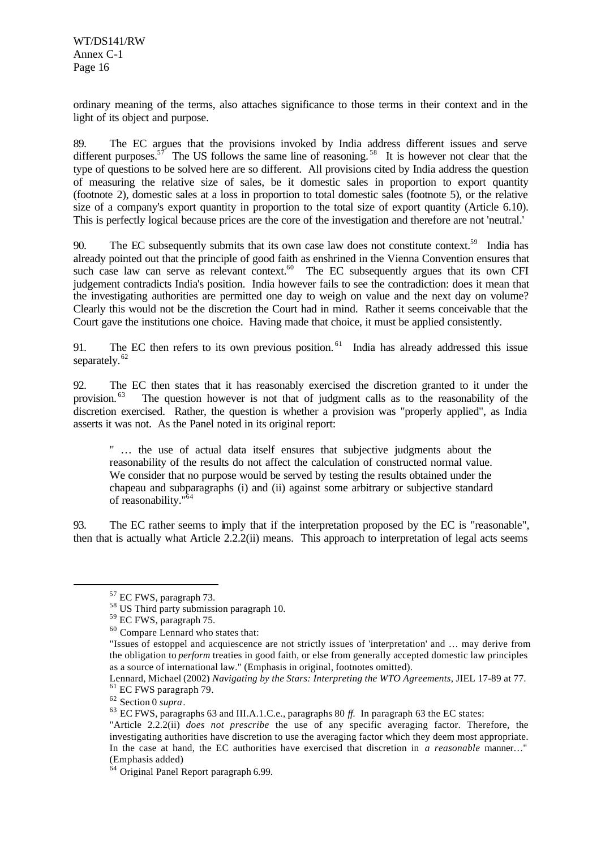WT/DS141/RW Annex C-1 Page 16

ordinary meaning of the terms, also attaches significance to those terms in their context and in the light of its object and purpose.

89. The EC argues that the provisions invoked by India address different issues and serve different purposes.<sup>57</sup> The US follows the same line of reasoning.<sup>58</sup> It is however not clear that the type of questions to be solved here are so different. All provisions cited by India address the question of measuring the relative size of sales, be it domestic sales in proportion to export quantity (footnote 2), domestic sales at a loss in proportion to total domestic sales (footnote 5), or the relative size of a company's export quantity in proportion to the total size of export quantity (Article 6.10). This is perfectly logical because prices are the core of the investigation and therefore are not 'neutral.'

90. The EC subsequently submits that its own case law does not constitute context.<sup>59</sup> India has already pointed out that the principle of good faith as enshrined in the Vienna Convention ensures that such case law can serve as relevant context. $60$  The EC subsequently argues that its own CFI judgement contradicts India's position. India however fails to see the contradiction: does it mean that the investigating authorities are permitted one day to weigh on value and the next day on volume? Clearly this would not be the discretion the Court had in mind. Rather it seems conceivable that the Court gave the institutions one choice. Having made that choice, it must be applied consistently.

91. The EC then refers to its own previous position.<sup>61</sup> India has already addressed this issue separately.<sup>62</sup>

92. The EC then states that it has reasonably exercised the discretion granted to it under the provision.<sup>63</sup> The question however is not that of judgment calls as to the reasonability of the discretion exercised. Rather, the question is whether a provision was "properly applied", as India asserts it was not. As the Panel noted in its original report:

" … the use of actual data itself ensures that subjective judgments about the reasonability of the results do not affect the calculation of constructed normal value. We consider that no purpose would be served by testing the results obtained under the chapeau and subparagraphs (i) and (ii) against some arbitrary or subjective standard of reasonability."<sup>64</sup>

93. The EC rather seems to imply that if the interpretation proposed by the EC is "reasonable", then that is actually what Article 2.2.2(ii) means. This approach to interpretation of legal acts seems

<sup>57</sup> EC FWS, paragraph 73.

<sup>58</sup> US Third party submission paragraph 10.

<sup>59</sup> EC FWS, paragraph 75.

<sup>60</sup> Compare Lennard who states that:

<sup>&</sup>quot;Issues of estoppel and acquiescence are not strictly issues of 'interpretation' and … may derive from the obligation to *perform* treaties in good faith, or else from generally accepted domestic law principles as a source of international law." (Emphasis in original, footnotes omitted).

Lennard, Michael (2002) *Navigating by the Stars: Interpreting the WTO Agreements,* JIEL 17-89 at 77. <sup>61</sup> EC FWS paragraph 79.

<sup>62</sup> Section 0 *supra*.

<sup>63</sup> EC FWS, paragraphs 63 and III.A.1.C.e., paragraphs 80 *ff.* In paragraph 63 the EC states:

<sup>&</sup>quot;Article 2.2.2(ii) *does not prescribe* the use of any specific averaging factor. Therefore, the investigating authorities have discretion to use the averaging factor which they deem most appropriate. In the case at hand, the EC authorities have exercised that discretion in *a reasonable* manner…" (Emphasis added)

<sup>&</sup>lt;sup>64</sup> Original Panel Report paragraph 6.99.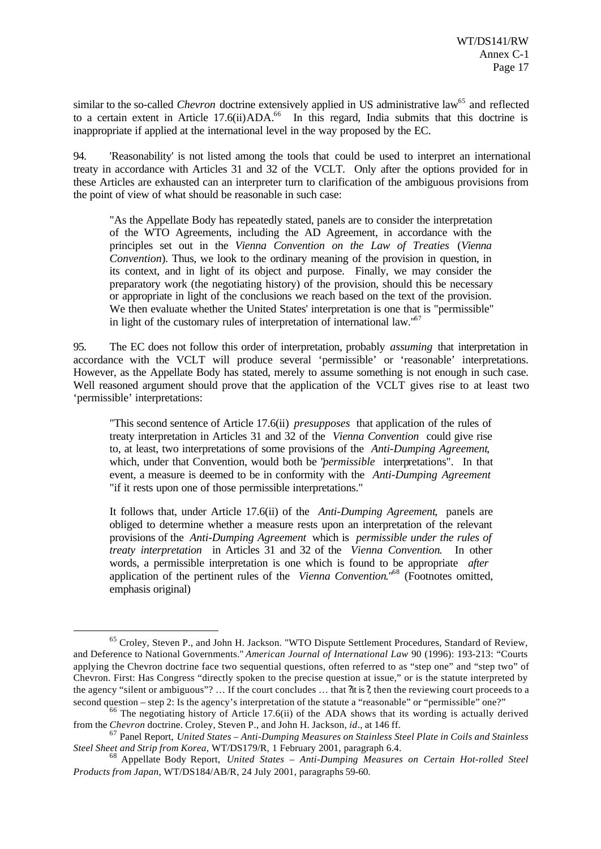similar to the so-called *Chevron* doctrine extensively applied in US administrative law<sup>65</sup> and reflected to a certain extent in Article 17.6(ii)ADA.<sup>66</sup> In this regard, India submits that this doctrine is inappropriate if applied at the international level in the way proposed by the EC.

94. 'Reasonability' is not listed among the tools that could be used to interpret an international treaty in accordance with Articles 31 and 32 of the VCLT. Only after the options provided for in these Articles are exhausted can an interpreter turn to clarification of the ambiguous provisions from the point of view of what should be reasonable in such case:

"As the Appellate Body has repeatedly stated, panels are to consider the interpretation of the WTO Agreements, including the AD Agreement, in accordance with the principles set out in the *Vienna Convention on the Law of Treaties* (*Vienna Convention*). Thus, we look to the ordinary meaning of the provision in question, in its context, and in light of its object and purpose. Finally, we may consider the preparatory work (the negotiating history) of the provision, should this be necessary or appropriate in light of the conclusions we reach based on the text of the provision. We then evaluate whether the United States' interpretation is one that is "permissible" in light of the customary rules of interpretation of international law."<sup>67</sup>

95. The EC does not follow this order of interpretation, probably *assuming* that interpretation in accordance with the VCLT will produce several 'permissible' or 'reasonable' interpretations. However, as the Appellate Body has stated, merely to assume something is not enough in such case. Well reasoned argument should prove that the application of the VCLT gives rise to at least two 'permissible' interpretations:

"This second sentence of Article 17.6(ii) *presupposes* that application of the rules of treaty interpretation in Articles 31 and 32 of the *Vienna Convention* could give rise to, at least, two interpretations of some provisions of the *Anti-Dumping Agreement*, which, under that Convention, would both be "*permissible* interpretations". In that event, a measure is deemed to be in conformity with the *Anti-Dumping Agreement* "if it rests upon one of those permissible interpretations."

It follows that, under Article 17.6(ii) of the *Anti-Dumping Agreement*, panels are obliged to determine whether a measure rests upon an interpretation of the relevant provisions of the *Anti-Dumping Agreement* which is *permissible under the rules of treaty interpretation* in Articles 31 and 32 of the *Vienna Convention*. In other words, a permissible interpretation is one which is found to be appropriate *after* application of the pertinent rules of the *Vienna Convention*."<sup>68</sup> (Footnotes omitted, emphasis original)

<sup>&</sup>lt;sup>65</sup> Croley, Steven P., and John H. Jackson. "WTO Dispute Settlement Procedures, Standard of Review, and Deference to National Governments." *American Journal of International Law* 90 (1996): 193-213: "Courts applying the Chevron doctrine face two sequential questions, often referred to as "step one" and "step two" of Chevron. First: Has Congress "directly spoken to the precise question at issue," or is the statute interpreted by the agency "silent or ambiguous"? … If the court concludes … that ?it is ?, then the reviewing court proceeds to a second question – step 2: Is the agency's interpretation of the statute a "reasonable" or "permissible" one?"

 $\frac{66}{6}$  The negotiating history of Article 17.6(ii) of the ADA shows that its wording is actually derived from the *Chevron* doctrine. Croley, Steven P., and John H. Jackson, *id*., at 146 ff.

<sup>67</sup> Panel Report, *United States – Anti-Dumping Measures on Stainless Steel Plate in Coils and Stainless Steel Sheet and Strip from Korea*, WT/DS179/R, 1 February 2001, paragraph 6.4.

<sup>68</sup> Appellate Body Report, *United States – Anti-Dumping Measures on Certain Hot-rolled Steel Products from Japan*, WT/DS184/AB/R, 24 July 2001, paragraphs 59-60.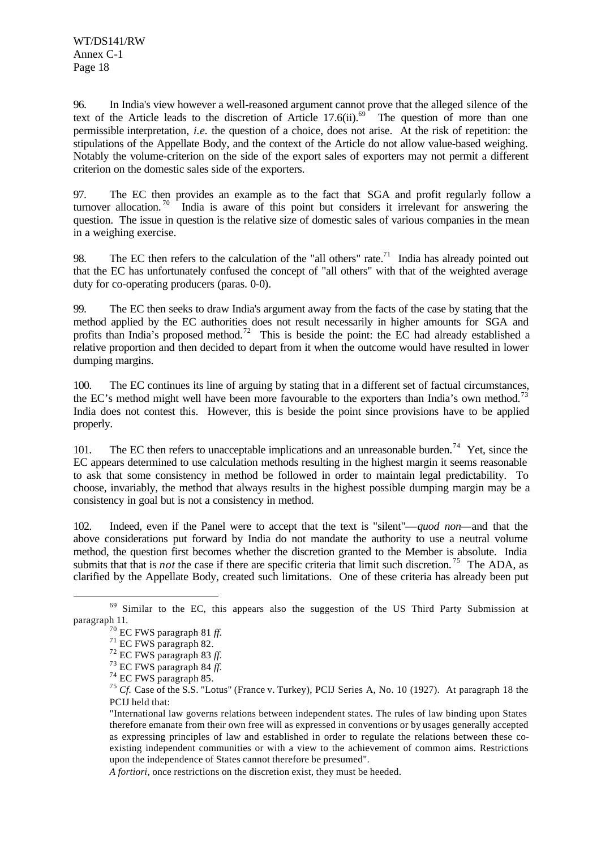96. In India's view however a well-reasoned argument cannot prove that the alleged silence of the text of the Article leads to the discretion of Article  $17.6(ii).^{69}$  The question of more than one permissible interpretation, *i.e.* the question of a choice, does not arise. At the risk of repetition: the stipulations of the Appellate Body, and the context of the Article do not allow value-based weighing. Notably the volume-criterion on the side of the export sales of exporters may not permit a different criterion on the domestic sales side of the exporters.

97. The EC then provides an example as to the fact that SGA and profit regularly follow a turnover allocation.<sup>70</sup> India is aware of this point but considers it irrelevant for answering the question. The issue in question is the relative size of domestic sales of various companies in the mean in a weighing exercise.

98. The EC then refers to the calculation of the "all others" rate.<sup>71</sup> India has already pointed out that the EC has unfortunately confused the concept of "all others" with that of the weighted average duty for co-operating producers (paras. 0-0).

99. The EC then seeks to draw India's argument away from the facts of the case by stating that the method applied by the EC authorities does not result necessarily in higher amounts for SGA and profits than India's proposed method.<sup>72</sup> This is beside the point: the EC had already established a relative proportion and then decided to depart from it when the outcome would have resulted in lower dumping margins.

100. The EC continues its line of arguing by stating that in a different set of factual circumstances, the EC's method might well have been more favourable to the exporters than India's own method.<sup>73</sup> India does not contest this. However, this is beside the point since provisions have to be applied properly.

101. The EC then refers to unacceptable implications and an unreasonable burden.<sup>74</sup> Yet, since the EC appears determined to use calculation methods resulting in the highest margin it seems reasonable to ask that some consistency in method be followed in order to maintain legal predictability. To choose, invariably, the method that always results in the highest possible dumping margin may be a consistency in goal but is not a consistency in method.

102. Indeed, even if the Panel were to accept that the text is "silent"—*quod non—*and that the above considerations put forward by India do not mandate the authority to use a neutral volume method, the question first becomes whether the discretion granted to the Member is absolute. India submits that that is *not* the case if there are specific criteria that limit such discretion.<sup>75</sup> The ADA, as clarified by the Appellate Body, created such limitations. One of these criteria has already been put

l

*A fortiori*, once restrictions on the discretion exist, they must be heeded.

<sup>69</sup> Similar to the EC, this appears also the suggestion of the US Third Party Submission at paragraph 11.

<sup>70</sup> EC FWS paragraph 81 *ff.*

<sup>71</sup> EC FWS paragraph 82.

<sup>72</sup> EC FWS paragraph 83 *ff.*

<sup>73</sup> EC FWS paragraph 84 *ff.*

<sup>74</sup> EC FWS paragraph 85.

<sup>75</sup> *Cf.* Case of the S.S. "Lotus" (France v. Turkey), PCIJ Series A, No. 10 (1927). At paragraph 18 the PCIJ held that:

<sup>&</sup>quot;International law governs relations between independent states. The rules of law binding upon States therefore emanate from their own free will as expressed in conventions or by usages generally accepted as expressing principles of law and established in order to regulate the relations between these coexisting independent communities or with a view to the achievement of common aims. Restrictions upon the independence of States cannot therefore be presumed".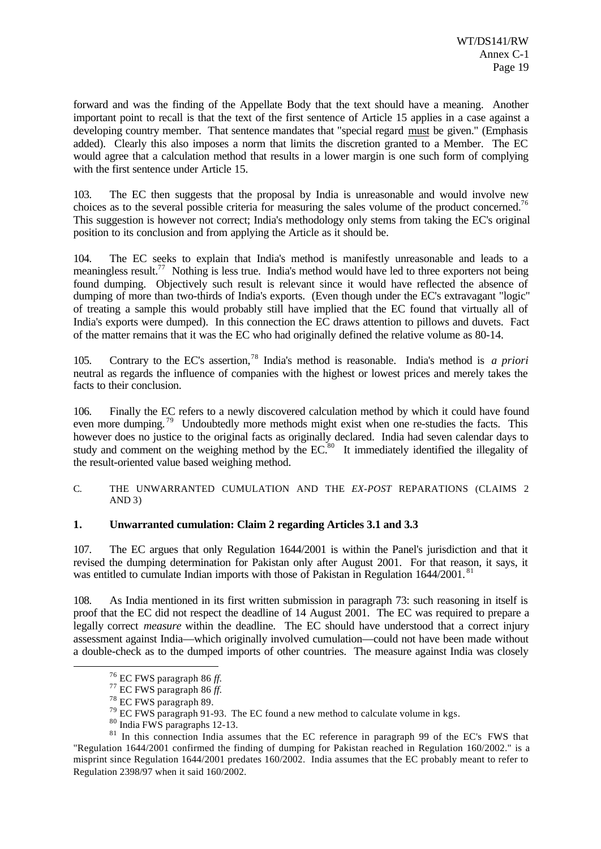forward and was the finding of the Appellate Body that the text should have a meaning. Another important point to recall is that the text of the first sentence of Article 15 applies in a case against a developing country member. That sentence mandates that "special regard must be given." (Emphasis added). Clearly this also imposes a norm that limits the discretion granted to a Member. The EC would agree that a calculation method that results in a lower margin is one such form of complying with the first sentence under Article 15.

103. The EC then suggests that the proposal by India is unreasonable and would involve new choices as to the several possible criteria for measuring the sales volume of the product concerned.<sup>76</sup> This suggestion is however not correct; India's methodology only stems from taking the EC's original position to its conclusion and from applying the Article as it should be.

104. The EC seeks to explain that India's method is manifestly unreasonable and leads to a meaningless result.<sup>77</sup> Nothing is less true. India's method would have led to three exporters not being found dumping. Objectively such result is relevant since it would have reflected the absence of dumping of more than two-thirds of India's exports. (Even though under the EC's extravagant "logic" of treating a sample this would probably still have implied that the EC found that virtually all of India's exports were dumped). In this connection the EC draws attention to pillows and duvets. Fact of the matter remains that it was the EC who had originally defined the relative volume as 80-14.

105. Contrary to the EC's assertion,<sup>78</sup> India's method is reasonable. India's method is *a priori* neutral as regards the influence of companies with the highest or lowest prices and merely takes the facts to their conclusion.

106. Finally the EC refers to a newly discovered calculation method by which it could have found even more dumping.<sup>79</sup> Undoubtedly more methods might exist when one re-studies the facts. This however does no justice to the original facts as originally declared. India had seven calendar days to study and comment on the weighing method by the  $EC<sup>80</sup>$  It immediately identified the illegality of the result-oriented value based weighing method.

C. THE UNWARRANTED CUMULATION AND THE *EX-POST* REPARATIONS (CLAIMS 2  $AND 3)$ 

## **1. Unwarranted cumulation: Claim 2 regarding Articles 3.1 and 3.3**

107. The EC argues that only Regulation 1644/2001 is within the Panel's jurisdiction and that it revised the dumping determination for Pakistan only after August 2001. For that reason, it says, it was entitled to cumulate Indian imports with those of Pakistan in Regulation 1644/2001.<sup>81</sup>

108. As India mentioned in its first written submission in paragraph 73: such reasoning in itself is proof that the EC did not respect the deadline of 14 August 2001. The EC was required to prepare a legally correct *measure* within the deadline. The EC should have understood that a correct injury assessment against India—which originally involved cumulation—could not have been made without a double-check as to the dumped imports of other countries. The measure against India was closely

<sup>76</sup> EC FWS paragraph 86 *ff.*

<sup>77</sup> EC FWS paragraph 86 *ff.*

<sup>78</sup> EC FWS paragraph 89.

<sup>&</sup>lt;sup>79</sup> EC FWS paragraph 91-93. The EC found a new method to calculate volume in kgs.

<sup>80</sup> India FWS paragraphs 12-13.

 $81$  In this connection India assumes that the EC reference in paragraph 99 of the EC's FWS that "Regulation 1644/2001 confirmed the finding of dumping for Pakistan reached in Regulation 160/2002." is a misprint since Regulation 1644/2001 predates 160/2002. India assumes that the EC probably meant to refer to Regulation 2398/97 when it said 160/2002.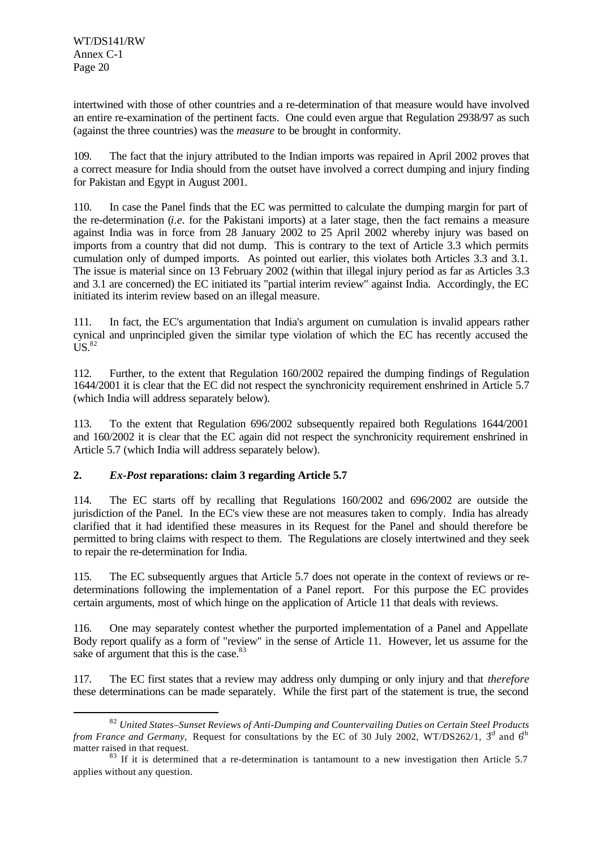l

intertwined with those of other countries and a re-determination of that measure would have involved an entire re-examination of the pertinent facts. One could even argue that Regulation 2938/97 as such (against the three countries) was the *measure* to be brought in conformity.

109. The fact that the injury attributed to the Indian imports was repaired in April 2002 proves that a correct measure for India should from the outset have involved a correct dumping and injury finding for Pakistan and Egypt in August 2001.

110. In case the Panel finds that the EC was permitted to calculate the dumping margin for part of the re-determination (*i.e.* for the Pakistani imports) at a later stage, then the fact remains a measure against India was in force from 28 January 2002 to 25 April 2002 whereby injury was based on imports from a country that did not dump. This is contrary to the text of Article 3.3 which permits cumulation only of dumped imports. As pointed out earlier, this violates both Articles 3.3 and 3.1. The issue is material since on 13 February 2002 (within that illegal injury period as far as Articles 3.3 and 3.1 are concerned) the EC initiated its "partial interim review" against India. Accordingly, the EC initiated its interim review based on an illegal measure.

111. In fact, the EC's argumentation that India's argument on cumulation is invalid appears rather cynical and unprincipled given the similar type violation of which the EC has recently accused the  $\mathrm{US.}^{82}$ 

112. Further, to the extent that Regulation 160/2002 repaired the dumping findings of Regulation 1644/2001 it is clear that the EC did not respect the synchronicity requirement enshrined in Article 5.7 (which India will address separately below).

113. To the extent that Regulation 696/2002 subsequently repaired both Regulations 1644/2001 and 160/2002 it is clear that the EC again did not respect the synchronicity requirement enshrined in Article 5.7 (which India will address separately below).

## **2***. Ex-Post* **reparations: claim 3 regarding Article 5.7**

114. The EC starts off by recalling that Regulations 160/2002 and 696/2002 are outside the jurisdiction of the Panel. In the EC's view these are not measures taken to comply. India has already clarified that it had identified these measures in its Request for the Panel and should therefore be permitted to bring claims with respect to them. The Regulations are closely intertwined and they seek to repair the re-determination for India.

115. The EC subsequently argues that Article 5.7 does not operate in the context of reviews or redeterminations following the implementation of a Panel report. For this purpose the EC provides certain arguments, most of which hinge on the application of Article 11 that deals with reviews.

116. One may separately contest whether the purported implementation of a Panel and Appellate Body report qualify as a form of "review" in the sense of Article 11. However, let us assume for the sake of argument that this is the case. $83$ 

117. The EC first states that a review may address only dumping or only injury and that *therefore* these determinations can be made separately. While the first part of the statement is true, the second

<sup>82</sup> *United States–Sunset Reviews of Anti-Dumping and Countervailing Duties on Certain Steel Products from France and Germany,* Request for consultations by the EC of 30 July 2002, WT/DS262/1,  $3<sup>d</sup>$  and  $6<sup>th</sup>$ matter raised in that request.

 $83$  If it is determined that a re-determination is tantamount to a new investigation then Article 5.7 applies without any question.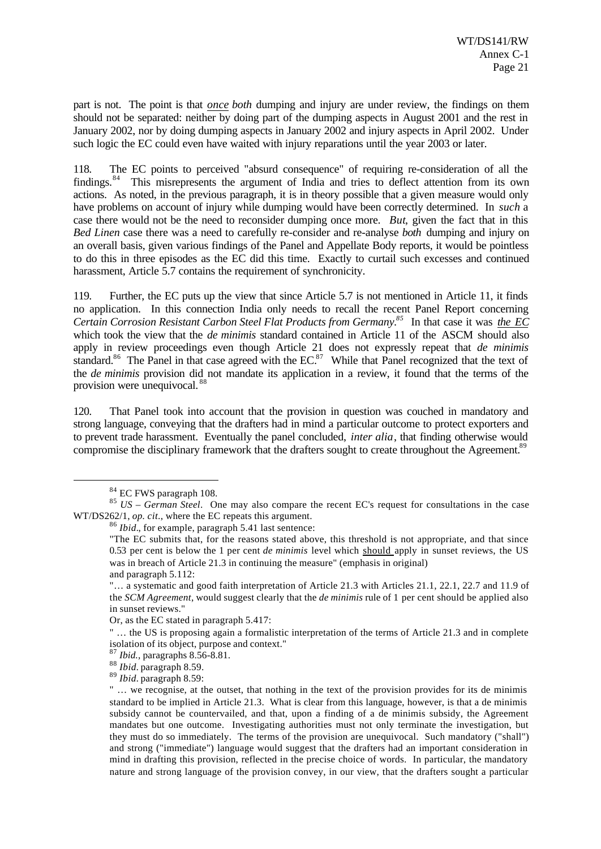part is not. The point is that *once both* dumping and injury are under review, the findings on them should not be separated: neither by doing part of the dumping aspects in August 2001 and the rest in January 2002, nor by doing dumping aspects in January 2002 and injury aspects in April 2002. Under such logic the EC could even have waited with injury reparations until the year 2003 or later.

118. The EC points to perceived "absurd consequence" of requiring re-consideration of all the findings.<sup>84</sup> This misrepresents the argument of India and tries to deflect attention from its own actions. As noted, in the previous paragraph, it is in theory possible that a given measure would only have problems on account of injury while dumping would have been correctly determined. In *such* a case there would not be the need to reconsider dumping once more. *But*, given the fact that in this *Bed Linen* case there was a need to carefully re-consider and re-analyse *both* dumping and injury on an overall basis, given various findings of the Panel and Appellate Body reports, it would be pointless to do this in three episodes as the EC did this time. Exactly to curtail such excesses and continued harassment, Article 5.7 contains the requirement of synchronicity.

119. Further, the EC puts up the view that since Article 5.7 is not mentioned in Article 11, it finds no application. In this connection India only needs to recall the recent Panel Report concerning *Certain Corrosion Resistant Carbon Steel Flat Products from Germany.<sup>85</sup>* In that case it was *the EC* which took the view that the *de minimis* standard contained in Article 11 of the ASCM should also apply in review proceedings even though Article 21 does not expressly repeat that *de minimis* standard.<sup>86</sup> The Panel in that case agreed with the EC.<sup>87</sup> While that Panel recognized that the text of the *de minimis* provision did not mandate its application in a review, it found that the terms of the provision were unequivocal. <sup>88</sup>

120. That Panel took into account that the provision in question was couched in mandatory and strong language, conveying that the drafters had in mind a particular outcome to protect exporters and to prevent trade harassment. Eventually the panel concluded, *inter alia*, that finding otherwise would compromise the disciplinary framework that the drafters sought to create throughout the Agreement.<sup>89</sup>

l

<sup>86</sup> *Ibid.*, for example, paragraph 5.41 last sentence:

<sup>84</sup> EC FWS paragraph 108.

<sup>85</sup> *US – German Steel*. One may also compare the recent EC's request for consultations in the case WT/DS262/1, *op. cit*., where the EC repeats this argument.

<sup>&</sup>quot;The EC submits that, for the reasons stated above, this threshold is not appropriate, and that since 0.53 per cent is below the 1 per cent *de minimis* level which should apply in sunset reviews, the US was in breach of Article 21.3 in continuing the measure" (emphasis in original)

and paragraph 5.112:

<sup>&</sup>quot;… a systematic and good faith interpretation of Article 21.3 with Articles 21.1, 22.1, 22.7 and 11.9 of the *SCM Agreement*, would suggest clearly that the *de minimis* rule of 1 per cent should be applied also in sunset reviews."

Or, as the EC stated in paragraph 5.417:

<sup>&</sup>quot; … the US is proposing again a formalistic interpretation of the terms of Article 21.3 and in complete isolation of its object, purpose and context."

<sup>87</sup> *Ibid.,* paragraphs 8.56-8.81.

<sup>88</sup> *Ibid.* paragraph 8.59.

<sup>89</sup> *Ibid.* paragraph 8.59:

<sup>&</sup>quot; … we recognise, at the outset, that nothing in the text of the provision provides for its de minimis standard to be implied in Article 21.3. What is clear from this language, however, is that a de minimis subsidy cannot be countervailed, and that, upon a finding of a de minimis subsidy, the Agreement mandates but one outcome. Investigating authorities must not only terminate the investigation, but they must do so immediately. The terms of the provision are unequivocal. Such mandatory ("shall") and strong ("immediate") language would suggest that the drafters had an important consideration in mind in drafting this provision, reflected in the precise choice of words. In particular, the mandatory nature and strong language of the provision convey, in our view, that the drafters sought a particular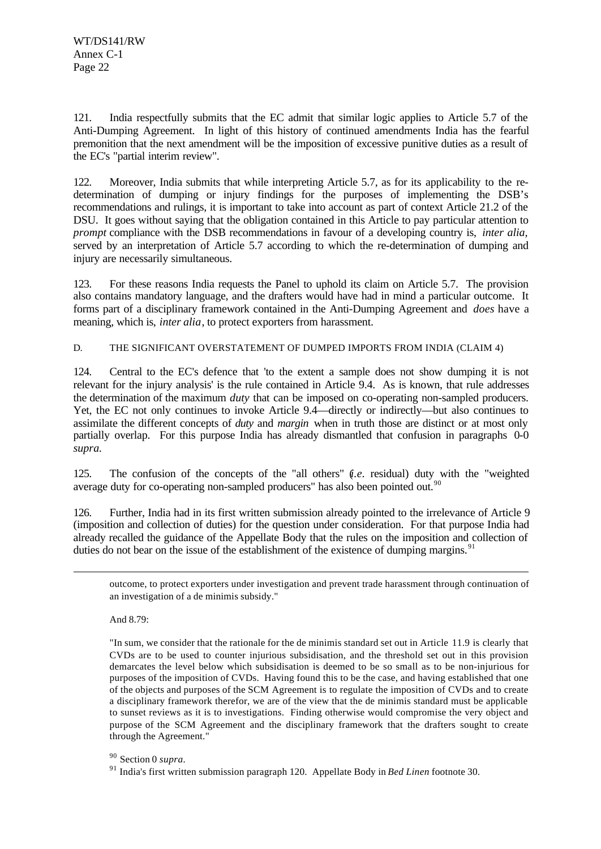121. India respectfully submits that the EC admit that similar logic applies to Article 5.7 of the Anti-Dumping Agreement. In light of this history of continued amendments India has the fearful premonition that the next amendment will be the imposition of excessive punitive duties as a result of the EC's "partial interim review".

122. Moreover, India submits that while interpreting Article 5.7, as for its applicability to the redetermination of dumping or injury findings for the purposes of implementing the DSB's recommendations and rulings, it is important to take into account as part of context Article 21.2 of the DSU. It goes without saying that the obligation contained in this Article to pay particular attention to *prompt* compliance with the DSB recommendations in favour of a developing country is, *inter alia,* served by an interpretation of Article 5.7 according to which the re-determination of dumping and injury are necessarily simultaneous.

123. For these reasons India requests the Panel to uphold its claim on Article 5.7. The provision also contains mandatory language, and the drafters would have had in mind a particular outcome. It forms part of a disciplinary framework contained in the Anti-Dumping Agreement and *does* have a meaning, which is, *inter alia*, to protect exporters from harassment.

D. THE SIGNIFICANT OVERSTATEMENT OF DUMPED IMPORTS FROM INDIA (CLAIM 4)

124. Central to the EC's defence that 'to the extent a sample does not show dumping it is not relevant for the injury analysis' is the rule contained in Article 9.4. As is known, that rule addresses the determination of the maximum *duty* that can be imposed on co-operating non-sampled producers. Yet, the EC not only continues to invoke Article 9.4—directly or indirectly—but also continues to assimilate the different concepts of *duty* and *margin* when in truth those are distinct or at most only partially overlap. For this purpose India has already dismantled that confusion in paragraphs 0-0 *supra.*

125. The confusion of the concepts of the "all others" (*i.e.* residual) duty with the "weighted average duty for co-operating non-sampled producers" has also been pointed out.

126. Further, India had in its first written submission already pointed to the irrelevance of Article 9 (imposition and collection of duties) for the question under consideration. For that purpose India had already recalled the guidance of the Appellate Body that the rules on the imposition and collection of duties do not bear on the issue of the establishment of the existence of dumping margins.<sup>91</sup>

outcome, to protect exporters under investigation and prevent trade harassment through continuation of an investigation of a de minimis subsidy."

And 8.79:

l

"In sum, we consider that the rationale for the de minimis standard set out in Article 11.9 is clearly that CVDs are to be used to counter injurious subsidisation, and the threshold set out in this provision demarcates the level below which subsidisation is deemed to be so small as to be non-injurious for purposes of the imposition of CVDs. Having found this to be the case, and having established that one of the objects and purposes of the SCM Agreement is to regulate the imposition of CVDs and to create a disciplinary framework therefor, we are of the view that the de minimis standard must be applicable to sunset reviews as it is to investigations. Finding otherwise would compromise the very object and purpose of the SCM Agreement and the disciplinary framework that the drafters sought to create through the Agreement."

<sup>90</sup> Section 0 *supra.*

<sup>91</sup> India's first written submission paragraph 120. Appellate Body in *Bed Linen* footnote 30.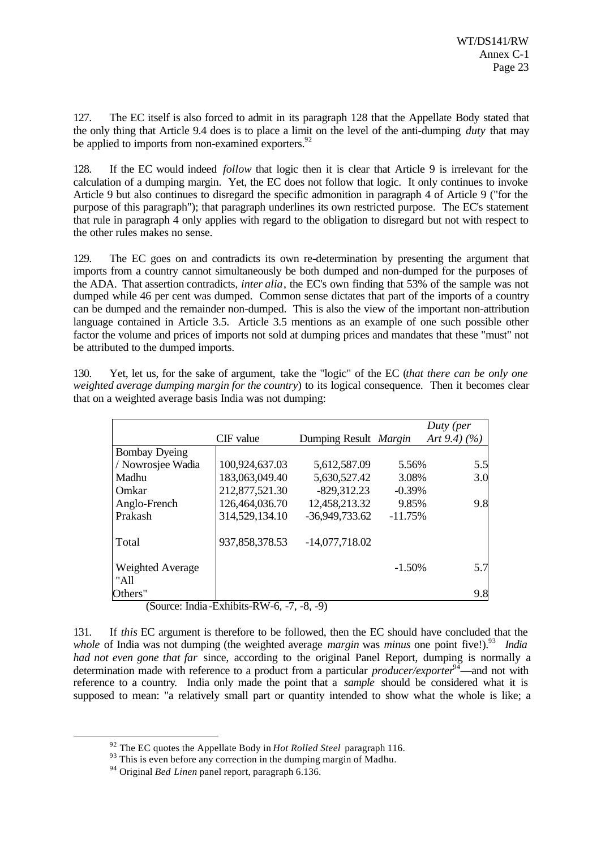127. The EC itself is also forced to admit in its paragraph 128 that the Appellate Body stated that the only thing that Article 9.4 does is to place a limit on the level of the anti-dumping *duty* that may be applied to imports from non-examined exporters.<sup>92</sup>

128. If the EC would indeed *follow* that logic then it is clear that Article 9 is irrelevant for the calculation of a dumping margin. Yet, the EC does not follow that logic. It only continues to invoke Article 9 but also continues to disregard the specific admonition in paragraph 4 of Article 9 ("for the purpose of this paragraph"); that paragraph underlines its own restricted purpose. The EC's statement that rule in paragraph 4 only applies with regard to the obligation to disregard but not with respect to the other rules makes no sense.

129. The EC goes on and contradicts its own re-determination by presenting the argument that imports from a country cannot simultaneously be both dumped and non-dumped for the purposes of the ADA. That assertion contradicts, *inter alia*, the EC's own finding that 53% of the sample was not dumped while 46 per cent was dumped. Common sense dictates that part of the imports of a country can be dumped and the remainder non-dumped. This is also the view of the important non-attribution language contained in Article 3.5. Article 3.5 mentions as an example of one such possible other factor the volume and prices of imports not sold at dumping prices and mandates that these "must" not be attributed to the dumped imports.

130. Yet, let us, for the sake of argument, take the "logic" of the EC (*that there can be only one weighted average dumping margin for the country*) to its logical consequence. Then it becomes clear that on a weighted average basis India was not dumping:

|                      |                |                       |           | Duty (per      |
|----------------------|----------------|-----------------------|-----------|----------------|
|                      | CIF value      | Dumping Result Margin |           | Art $9.4)$ (%) |
| <b>Bombay Dyeing</b> |                |                       |           |                |
| / Nowrosjee Wadia    | 100,924,637.03 | 5,612,587.09          | 5.56%     | 5.5            |
| Madhu                | 183,063,049.40 | 5,630,527.42          | 3.08%     | 3.0            |
| <b>Omkar</b>         | 212,877,521.30 | $-829,312.23$         | $-0.39\%$ |                |
| Anglo-French         | 126,464,036.70 | 12,458,213.32         | 9.85%     | 9.8            |
| Prakash              | 314,529,134.10 | -36,949,733.62        | $-11.75%$ |                |
| Total                | 937,858,378.53 | $-14,077,718.02$      |           |                |
| Weighted Average     |                |                       | $-1.50%$  | 5.7            |
| "All                 |                |                       |           |                |
| Others"<br>$\sim$    |                |                       |           | 9.8            |

(Source: India-Exhibits-RW-6, -7, -8, -9)

131. If *this* EC argument is therefore to be followed, then the EC should have concluded that the whole of India was not dumping (the weighted average *margin* was *minus* one point five!).<sup>93</sup> India *had not even gone that far* since, according to the original Panel Report, dumping is normally a determination made with reference to a product from a particular *producer/exporter*<sup>94</sup>—and not with reference to a country*.* India only made the point that a *sample* should be considered what it is supposed to mean: "a relatively small part or quantity intended to show what the whole is like; a

<sup>92</sup> The EC quotes the Appellate Body in *Hot Rolled Steel* paragraph 116.

 $93$  This is even before any correction in the dumping margin of Madhu.

<sup>94</sup> Original *Bed Linen* panel report, paragraph 6.136.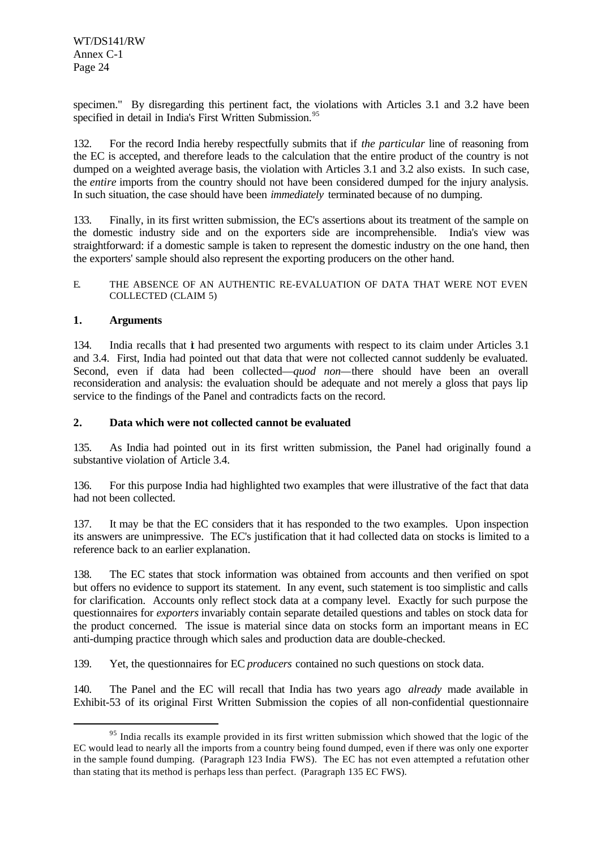specimen." By disregarding this pertinent fact, the violations with Articles 3.1 and 3.2 have been specified in detail in India's First Written Submission.<sup>95</sup>

132. For the record India hereby respectfully submits that if *the particular* line of reasoning from the EC is accepted, and therefore leads to the calculation that the entire product of the country is not dumped on a weighted average basis, the violation with Articles 3.1 and 3.2 also exists. In such case, the *entire* imports from the country should not have been considered dumped for the injury analysis. In such situation, the case should have been *immediately* terminated because of no dumping.

133. Finally, in its first written submission, the EC's assertions about its treatment of the sample on the domestic industry side and on the exporters side are incomprehensible. India's view was straightforward: if a domestic sample is taken to represent the domestic industry on the one hand, then the exporters' sample should also represent the exporting producers on the other hand.

#### E. THE ABSENCE OF AN AUTHENTIC RE-EVALUATION OF DATA THAT WERE NOT EVEN COLLECTED (CLAIM 5)

#### **1. Arguments**

l

134. India recalls that it had presented two arguments with respect to its claim under Articles 3.1 and 3.4. First, India had pointed out that data that were not collected cannot suddenly be evaluated. Second, even if data had been collected—*quod non—*there should have been an overall reconsideration and analysis: the evaluation should be adequate and not merely a gloss that pays lip service to the findings of the Panel and contradicts facts on the record.

#### **2. Data which were not collected cannot be evaluated**

135. As India had pointed out in its first written submission, the Panel had originally found a substantive violation of Article 3.4.

136. For this purpose India had highlighted two examples that were illustrative of the fact that data had not been collected.

137. It may be that the EC considers that it has responded to the two examples. Upon inspection its answers are unimpressive. The EC's justification that it had collected data on stocks is limited to a reference back to an earlier explanation.

138. The EC states that stock information was obtained from accounts and then verified on spot but offers no evidence to support its statement. In any event, such statement is too simplistic and calls for clarification. Accounts only reflect stock data at a company level. Exactly for such purpose the questionnaires for *exporters* invariably contain separate detailed questions and tables on stock data for the product concerned. The issue is material since data on stocks form an important means in EC anti-dumping practice through which sales and production data are double-checked.

139. Yet, the questionnaires for EC *producers* contained no such questions on stock data.

140. The Panel and the EC will recall that India has two years ago *already* made available in Exhibit-53 of its original First Written Submission the copies of all non-confidential questionnaire

<sup>&</sup>lt;sup>95</sup> India recalls its example provided in its first written submission which showed that the logic of the EC would lead to nearly all the imports from a country being found dumped, even if there was only one exporter in the sample found dumping. (Paragraph 123 India FWS). The EC has not even attempted a refutation other than stating that its method is perhaps less than perfect. (Paragraph 135 EC FWS).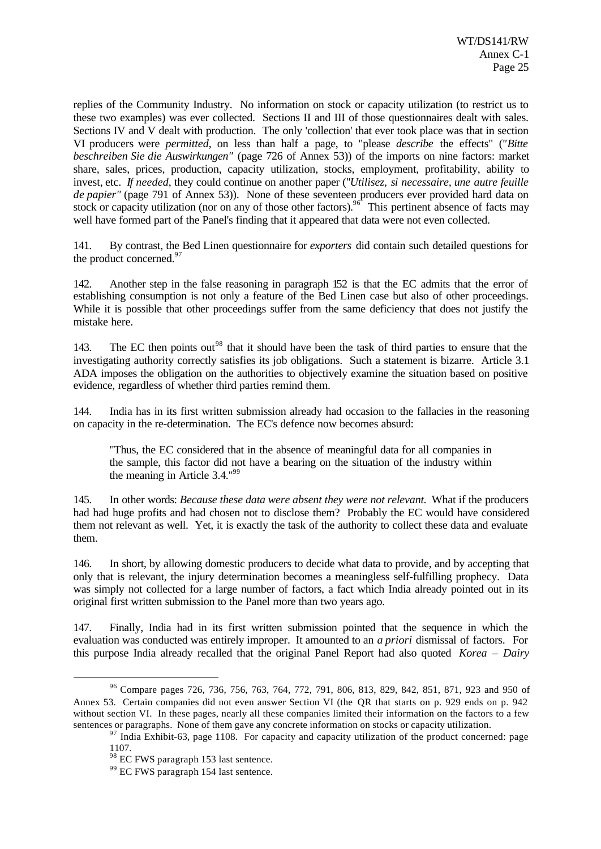replies of the Community Industry. No information on stock or capacity utilization (to restrict us to these two examples) was ever collected. Sections II and III of those questionnaires dealt with sales. Sections IV and V dealt with production. The only 'collection' that ever took place was that in section VI producers were *permitted*, on less than half a page, to "please *describe* the effects" (*"Bitte beschreiben Sie die Auswirkungen"* (page 726 of Annex 53)) of the imports on nine factors: market share, sales, prices, production, capacity utilization, stocks, employment, profitability, ability to invest, etc. *If needed*, they could continue on another paper (*"Utilisez, si necessaire, une autre feuille de papier"* (page 791 of Annex 53)). None of these seventeen producers ever provided hard data on stock or capacity utilization (nor on any of those other factors).<sup>96</sup> This pertinent absence of facts may well have formed part of the Panel's finding that it appeared that data were not even collected.

141. By contrast, the Bed Linen questionnaire for *exporters* did contain such detailed questions for the product concerned.<sup>97</sup>

142. Another step in the false reasoning in paragraph 152 is that the EC admits that the error of establishing consumption is not only a feature of the Bed Linen case but also of other proceedings. While it is possible that other proceedings suffer from the same deficiency that does not justify the mistake here.

143. The EC then points out<sup>98</sup> that it should have been the task of third parties to ensure that the investigating authority correctly satisfies its job obligations. Such a statement is bizarre. Article 3.1 ADA imposes the obligation on the authorities to objectively examine the situation based on positive evidence, regardless of whether third parties remind them.

144. India has in its first written submission already had occasion to the fallacies in the reasoning on capacity in the re-determination. The EC's defence now becomes absurd:

"Thus, the EC considered that in the absence of meaningful data for all companies in the sample, this factor did not have a bearing on the situation of the industry within the meaning in Article 3.4."<sup>99</sup>

145. In other words: *Because these data were absent they were not relevant.* What if the producers had had huge profits and had chosen not to disclose them? Probably the EC would have considered them not relevant as well. Yet, it is exactly the task of the authority to collect these data and evaluate them.

146. In short, by allowing domestic producers to decide what data to provide, and by accepting that only that is relevant, the injury determination becomes a meaningless self-fulfilling prophecy. Data was simply not collected for a large number of factors, a fact which India already pointed out in its original first written submission to the Panel more than two years ago.

147. Finally, India had in its first written submission pointed that the sequence in which the evaluation was conducted was entirely improper. It amounted to an *a priori* dismissal of factors. For this purpose India already recalled that the original Panel Report had also quoted *Korea – Dairy*

<sup>96</sup> Compare pages 726, 736, 756, 763, 764, 772, 791, 806, 813, 829, 842, 851, 871, 923 and 950 of Annex 53. Certain companies did not even answer Section VI (the QR that starts on p. 929 ends on p. 942 without section VI. In these pages, nearly all these companies limited their information on the factors to a few sentences or paragraphs. None of them gave any concrete information on stocks or capacity utilization.

 $97$  India Exhibit-63, page 1108. For capacity and capacity utilization of the product concerned: page

<sup>1107.</sup>

<sup>&</sup>lt;sup>98</sup> EC FWS paragraph 153 last sentence.

<sup>99</sup> EC FWS paragraph 154 last sentence.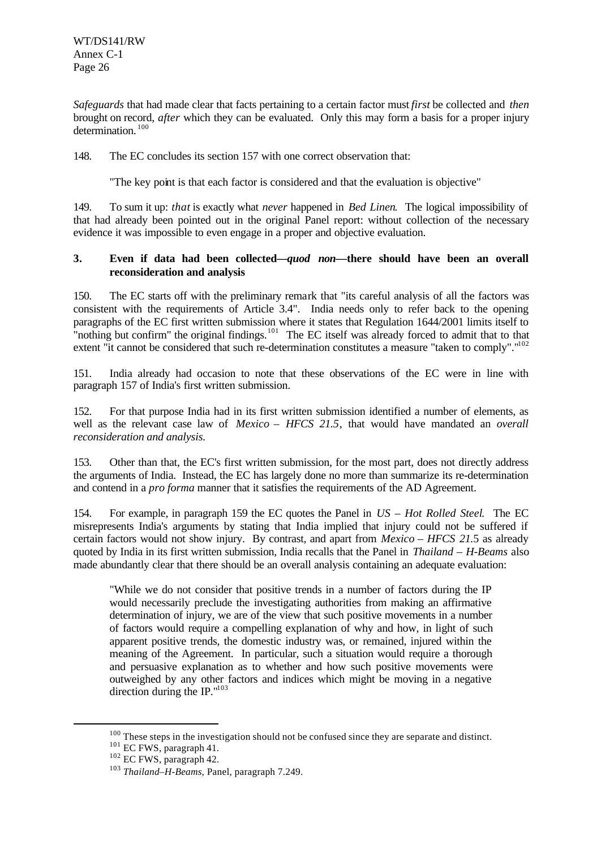*Safeguards* that had made clear that facts pertaining to a certain factor must *first* be collected and *then* brought on record, *after* which they can be evaluated. Only this may form a basis for a proper injury determination. <sup>100</sup>

148. The EC concludes its section 157 with one correct observation that:

"The key point is that each factor is considered and that the evaluation is objective"

149. To sum it up: *that* is exactly what *never* happened in *Bed Linen*. The logical impossibility of that had already been pointed out in the original Panel report: without collection of the necessary evidence it was impossible to even engage in a proper and objective evaluation.

## **3. Even if data had been collected—***quod non***—there should have been an overall reconsideration and analysis**

150. The EC starts off with the preliminary remark that "its careful analysis of all the factors was consistent with the requirements of Article 3.4". India needs only to refer back to the opening paragraphs of the EC first written submission where it states that Regulation 1644/2001 limits itself to "nothing but confirm" the original findings.<sup>101</sup> The EC itself was already forced to admit that to that extent "it cannot be considered that such re-determination constitutes a measure "taken to comply"."<sup>102</sup>

151. India already had occasion to note that these observations of the EC were in line with paragraph 157 of India's first written submission.

152. For that purpose India had in its first written submission identified a number of elements, as well as the relevant case law of *Mexico – HFCS 21.5*, that would have mandated an *overall reconsideration and analysis.*

153. Other than that, the EC's first written submission, for the most part, does not directly address the arguments of India. Instead, the EC has largely done no more than summarize its re-determination and contend in a *pro forma* manner that it satisfies the requirements of the AD Agreement.

154. For example, in paragraph 159 the EC quotes the Panel in *US – Hot Rolled Steel*. The EC misrepresents India's arguments by stating that India implied that injury could not be suffered if certain factors would not show injury. By contrast, and apart from *Mexico – HFCS 21.*5 as already quoted by India in its first written submission, India recalls that the Panel in *Thailand – H-Beams* also made abundantly clear that there should be an overall analysis containing an adequate evaluation:

"While we do not consider that positive trends in a number of factors during the IP would necessarily preclude the investigating authorities from making an affirmative determination of injury, we are of the view that such positive movements in a number of factors would require a compelling explanation of why and how, in light of such apparent positive trends, the domestic industry was, or remained, injured within the meaning of the Agreement. In particular, such a situation would require a thorough and persuasive explanation as to whether and how such positive movements were outweighed by any other factors and indices which might be moving in a negative direction during the IP."<sup>103</sup>

<sup>&</sup>lt;sup>100</sup> These steps in the investigation should not be confused since they are separate and distinct.

 $101$  EC FWS, paragraph 41.

<sup>102</sup> EC FWS, paragraph 42.

<sup>103</sup> *Thailand–H-Beams*, Panel, paragraph 7.249.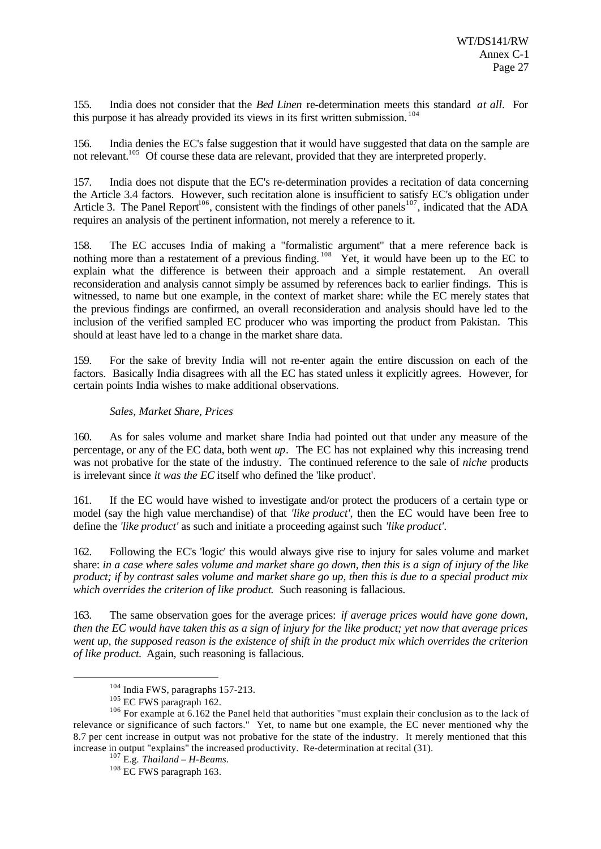155. India does not consider that the *Bed Linen* re-determination meets this standard *at all*. For this purpose it has already provided its views in its first written submission.  $104$ 

156. India denies the EC's false suggestion that it would have suggested that data on the sample are not relevant.<sup>105</sup> Of course these data are relevant, provided that they are interpreted properly.

157. India does not dispute that the EC's re-determination provides a recitation of data concerning the Article 3.4 factors. However, such recitation alone is insufficient to satisfy EC's obligation under Article 3. The Panel Report<sup>106</sup>, consistent with the findings of other panels<sup>107</sup>, indicated that the ADA requires an analysis of the pertinent information, not merely a reference to it.

158. The EC accuses India of making a "formalistic argument" that a mere reference back is nothing more than a restatement of a previous finding.<sup>108</sup> Yet, it would have been up to the EC to explain what the difference is between their approach and a simple restatement. An overall reconsideration and analysis cannot simply be assumed by references back to earlier findings. This is witnessed, to name but one example, in the context of market share: while the EC merely states that the previous findings are confirmed, an overall reconsideration and analysis should have led to the inclusion of the verified sampled EC producer who was importing the product from Pakistan. This should at least have led to a change in the market share data.

159. For the sake of brevity India will not re-enter again the entire discussion on each of the factors. Basically India disagrees with all the EC has stated unless it explicitly agrees. However, for certain points India wishes to make additional observations.

#### *Sales, Market Share, Prices*

160. As for sales volume and market share India had pointed out that under any measure of the percentage, or any of the EC data, both went *up*. The EC has not explained why this increasing trend was not probative for the state of the industry. The continued reference to the sale of *niche* products is irrelevant since *it was the EC* itself who defined the 'like product'.

161. If the EC would have wished to investigate and/or protect the producers of a certain type or model (say the high value merchandise) of that *'like product'*, then the EC would have been free to define the *'like product'* as such and initiate a proceeding against such *'like product'*.

162. Following the EC's 'logic' this would always give rise to injury for sales volume and market share: *in a case where sales volume and market share go down, then this is a sign of injury of the like product; if by contrast sales volume and market share go up, then this is due to a special product mix which overrides the criterion of like product*. Such reasoning is fallacious.

163. The same observation goes for the average prices: *if average prices would have gone down, then the EC would have taken this as a sign of injury for the like product; yet now that average prices went up, the supposed reason is the existence of shift in the product mix which overrides the criterion of like product.* Again, such reasoning is fallacious.

<sup>104</sup> India FWS, paragraphs 157-213.

<sup>&</sup>lt;sup>105</sup> EC FWS paragraph 162.

<sup>&</sup>lt;sup>106</sup> For example at 6.162 the Panel held that authorities "must explain their conclusion as to the lack of relevance or significance of such factors." Yet, to name but one example, the EC never mentioned why the 8.7 per cent increase in output was not probative for the state of the industry. It merely mentioned that this increase in output "explains" the increased productivity. Re-determination at recital (31).

<sup>107</sup> E.g. *Thailand – H-Beams.*

<sup>&</sup>lt;sup>108</sup> EC FWS paragraph 163.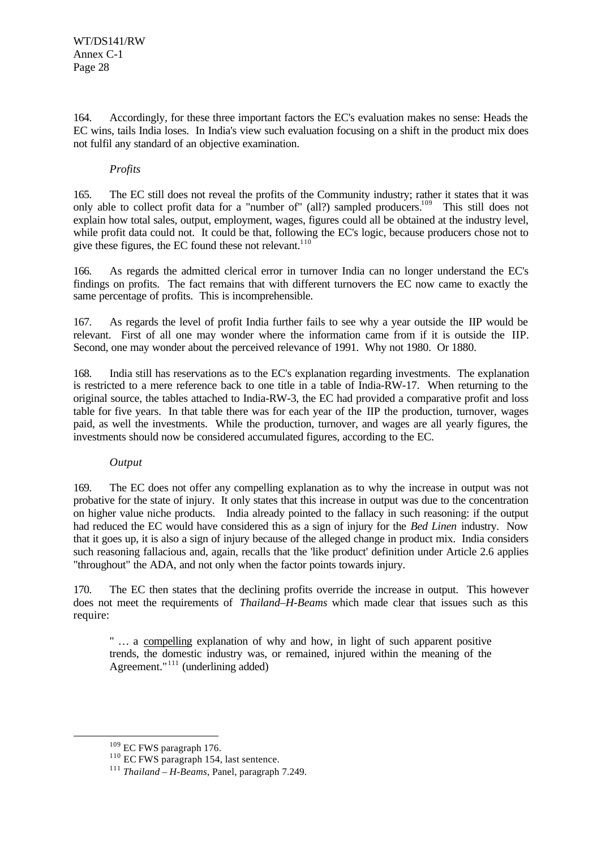164. Accordingly, for these three important factors the EC's evaluation makes no sense: Heads the EC wins, tails India loses. In India's view such evaluation focusing on a shift in the product mix does not fulfil any standard of an objective examination.

## *Profits*

165. The EC still does not reveal the profits of the Community industry; rather it states that it was only able to collect profit data for a "number of" (all?) sampled producers.<sup>109</sup> This still does not explain how total sales, output, employment, wages, figures could all be obtained at the industry level, while profit data could not. It could be that, following the EC's logic, because producers chose not to give these figures, the EC found these not relevant. $110$ 

166. As regards the admitted clerical error in turnover India can no longer understand the EC's findings on profits. The fact remains that with different turnovers the EC now came to exactly the same percentage of profits. This is incomprehensible.

167. As regards the level of profit India further fails to see why a year outside the IIP would be relevant. First of all one may wonder where the information came from if it is outside the IIP. Second, one may wonder about the perceived relevance of 1991. Why not 1980. Or 1880.

168. India still has reservations as to the EC's explanation regarding investments. The explanation is restricted to a mere reference back to one title in a table of India-RW-17. When returning to the original source, the tables attached to India-RW-3, the EC had provided a comparative profit and loss table for five years. In that table there was for each year of the IIP the production, turnover, wages paid, as well the investments. While the production, turnover, and wages are all yearly figures, the investments should now be considered accumulated figures, according to the EC.

#### *Output*

169. The EC does not offer any compelling explanation as to why the increase in output was not probative for the state of injury. It only states that this increase in output was due to the concentration on higher value niche products. India already pointed to the fallacy in such reasoning: if the output had reduced the EC would have considered this as a sign of injury for the *Bed Linen* industry. Now that it goes up, it is also a sign of injury because of the alleged change in product mix. India considers such reasoning fallacious and, again, recalls that the 'like product' definition under Article 2.6 applies "throughout" the ADA, and not only when the factor points towards injury.

170. The EC then states that the declining profits override the increase in output. This however does not meet the requirements of *Thailand–H-Beams* which made clear that issues such as this require:

" … a compelling explanation of why and how, in light of such apparent positive trends, the domestic industry was, or remained, injured within the meaning of the Agreement." $111$  (underlining added)

<sup>&</sup>lt;sup>109</sup> EC FWS paragraph 176.

 $^{110}$  EC FWS paragraph 154, last sentence.

<sup>111</sup> *Thailand – H-Beams*, Panel, paragraph 7.249.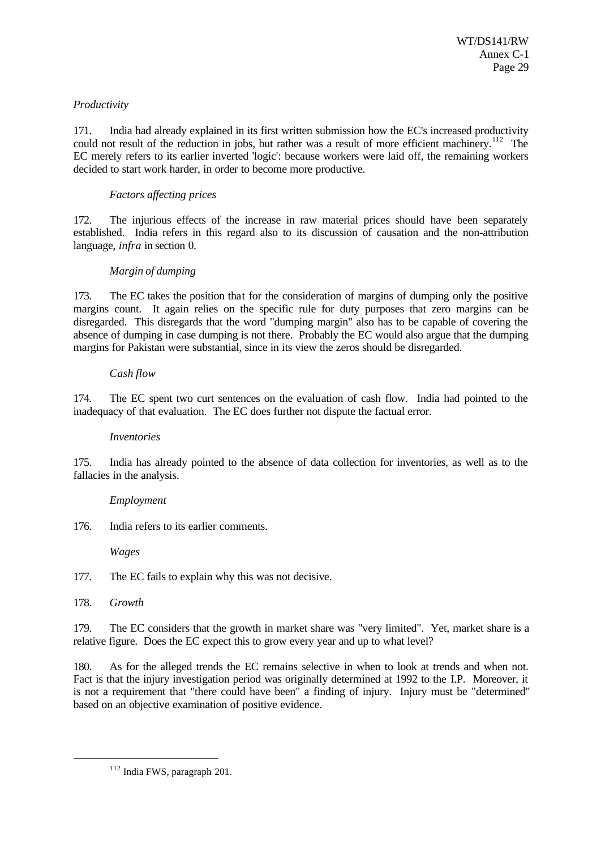## *Productivity*

171. India had already explained in its first written submission how the EC's increased productivity could not result of the reduction in jobs, but rather was a result of more efficient machinery.<sup>112</sup> The EC merely refers to its earlier inverted 'logic': because workers were laid off, the remaining workers decided to start work harder, in order to become more productive.

## *Factors affecting prices*

172. The injurious effects of the increase in raw material prices should have been separately established. India refers in this regard also to its discussion of causation and the non-attribution language, *infra* in section 0.

## *Margin of dumping*

173. The EC takes the position that for the consideration of margins of dumping only the positive margins count. It again relies on the specific rule for duty purposes that zero margins can be disregarded. This disregards that the word "dumping margin" also has to be capable of covering the absence of dumping in case dumping is not there. Probably the EC would also argue that the dumping margins for Pakistan were substantial, since in its view the zeros should be disregarded.

## *Cash flow*

174. The EC spent two curt sentences on the evaluation of cash flow. India had pointed to the inadequacy of that evaluation. The EC does further not dispute the factual error.

## *Inventories*

175. India has already pointed to the absence of data collection for inventories, as well as to the fallacies in the analysis.

## *Employment*

176. India refers to its earlier comments.

*Wages*

177. The EC fails to explain why this was not decisive.

178. *Growth*

l

179. The EC considers that the growth in market share was "very limited". Yet, market share is a relative figure. Does the EC expect this to grow every year and up to what level?

180. As for the alleged trends the EC remains selective in when to look at trends and when not. Fact is that the injury investigation period was originally determined at 1992 to the I.P. Moreover, it is not a requirement that "there could have been" a finding of injury. Injury must be "determined" based on an objective examination of positive evidence.

<sup>112</sup> India FWS, paragraph 201.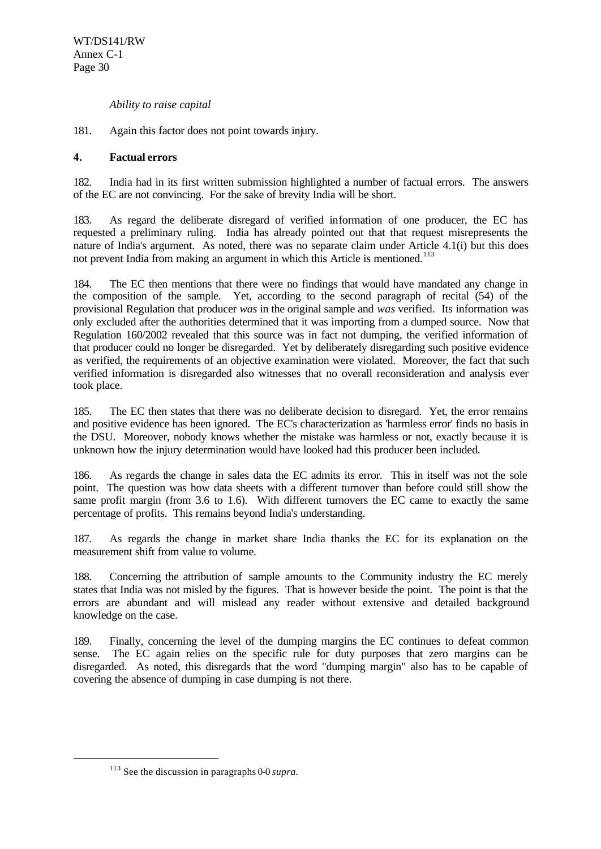*Ability to raise capital*

181. Again this factor does not point towards injury.

#### **4. Factual errors**

182. India had in its first written submission highlighted a number of factual errors. The answers of the EC are not convincing. For the sake of brevity India will be short.

183. As regard the deliberate disregard of verified information of one producer, the EC has requested a preliminary ruling. India has already pointed out that that request misrepresents the nature of India's argument. As noted, there was no separate claim under Article 4.1(i) but this does not prevent India from making an argument in which this Article is mentioned.<sup>113</sup>

184. The EC then mentions that there were no findings that would have mandated any change in the composition of the sample. Yet, according to the second paragraph of recital (54) of the provisional Regulation that producer *was* in the original sample and *was* verified. Its information was only excluded after the authorities determined that it was importing from a dumped source. Now that Regulation 160/2002 revealed that this source was in fact not dumping, the verified information of that producer could no longer be disregarded. Yet by deliberately disregarding such positive evidence as verified, the requirements of an objective examination were violated. Moreover, the fact that such verified information is disregarded also witnesses that no overall reconsideration and analysis ever took place.

185. The EC then states that there was no deliberate decision to disregard. Yet, the error remains and positive evidence has been ignored. The EC's characterization as 'harmless error' finds no basis in the DSU. Moreover, nobody knows whether the mistake was harmless or not, exactly because it is unknown how the injury determination would have looked had this producer been included.

186. As regards the change in sales data the EC admits its error. This in itself was not the sole point. The question was how data sheets with a different turnover than before could still show the same profit margin (from 3.6 to 1.6). With different turnovers the EC came to exactly the same percentage of profits. This remains beyond India's understanding.

187. As regards the change in market share India thanks the EC for its explanation on the measurement shift from value to volume.

188. Concerning the attribution of sample amounts to the Community industry the EC merely states that India was not misled by the figures. That is however beside the point. The point is that the errors are abundant and will mislead any reader without extensive and detailed background knowledge on the case.

189. Finally, concerning the level of the dumping margins the EC continues to defeat common sense. The EC again relies on the specific rule for duty purposes that zero margins can be disregarded. As noted, this disregards that the word "dumping margin" also has to be capable of covering the absence of dumping in case dumping is not there.

<sup>113</sup> See the discussion in paragraphs 0-0 *supra.*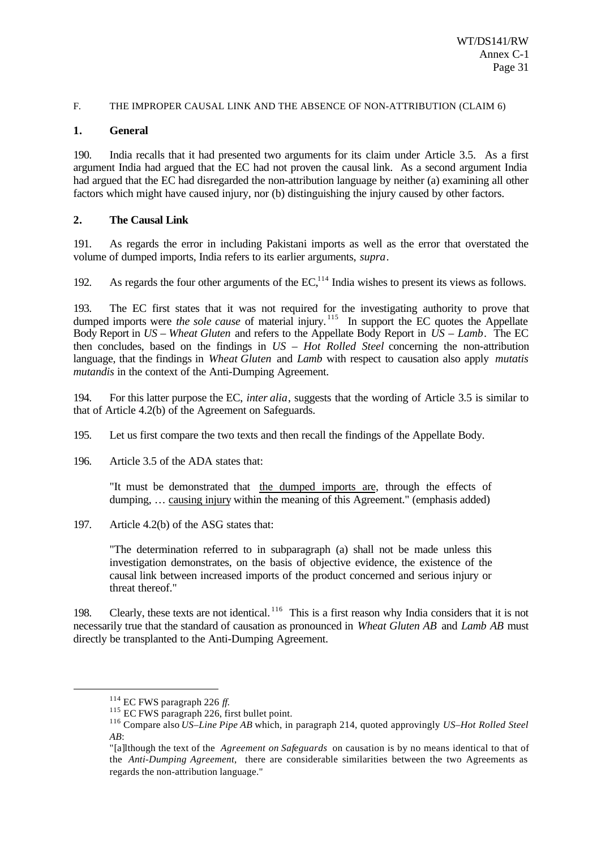#### F. THE IMPROPER CAUSAL LINK AND THE ABSENCE OF NON-ATTRIBUTION (CLAIM 6)

#### **1. General**

190. India recalls that it had presented two arguments for its claim under Article 3.5. As a first argument India had argued that the EC had not proven the causal link. As a second argument India had argued that the EC had disregarded the non-attribution language by neither (a) examining all other factors which might have caused injury, nor (b) distinguishing the injury caused by other factors.

#### **2. The Causal Link**

191. As regards the error in including Pakistani imports as well as the error that overstated the volume of dumped imports, India refers to its earlier arguments, *supra*.

192. As regards the four other arguments of the  $EC<sup>114</sup>$  India wishes to present its views as follows.

193. The EC first states that it was not required for the investigating authority to prove that dumped imports were *the sole cause* of material injury.<sup>115</sup> In support the EC quotes the Appellate Body Report in *US – Wheat Gluten* and refers to the Appellate Body Report in *US – Lamb*. The EC then concludes, based on the findings in *US – Hot Rolled Steel* concerning the non-attribution language, that the findings in *Wheat Gluten* and *Lamb* with respect to causation also apply *mutatis mutandis* in the context of the Anti-Dumping Agreement.

194. For this latter purpose the EC, *inter alia*, suggests that the wording of Article 3.5 is similar to that of Article 4.2(b) of the Agreement on Safeguards.

195. Let us first compare the two texts and then recall the findings of the Appellate Body.

196. Article 3.5 of the ADA states that:

"It must be demonstrated that the dumped imports are, through the effects of dumping, ... causing injury within the meaning of this Agreement." (emphasis added)

197. Article 4.2(b) of the ASG states that:

"The determination referred to in subparagraph (a) shall not be made unless this investigation demonstrates, on the basis of objective evidence, the existence of the causal link between increased imports of the product concerned and serious injury or threat thereof."

198. Clearly, these texts are not identical.  $116$  This is a first reason why India considers that it is not necessarily true that the standard of causation as pronounced in *Wheat Gluten AB* and *Lamb AB* must directly be transplanted to the Anti-Dumping Agreement.

<sup>114</sup> EC FWS paragraph 226 *ff.*

<sup>&</sup>lt;sup>115</sup> EC FWS paragraph 226, first bullet point.

<sup>116</sup> Compare also *US–Line Pipe AB* which, in paragraph 214, quoted approvingly *US–Hot Rolled Steel AB*:

<sup>&</sup>quot;[a]lthough the text of the *Agreement on Safeguards* on causation is by no means identical to that of the *Anti-Dumping Agreement*, there are considerable similarities between the two Agreements as regards the non-attribution language."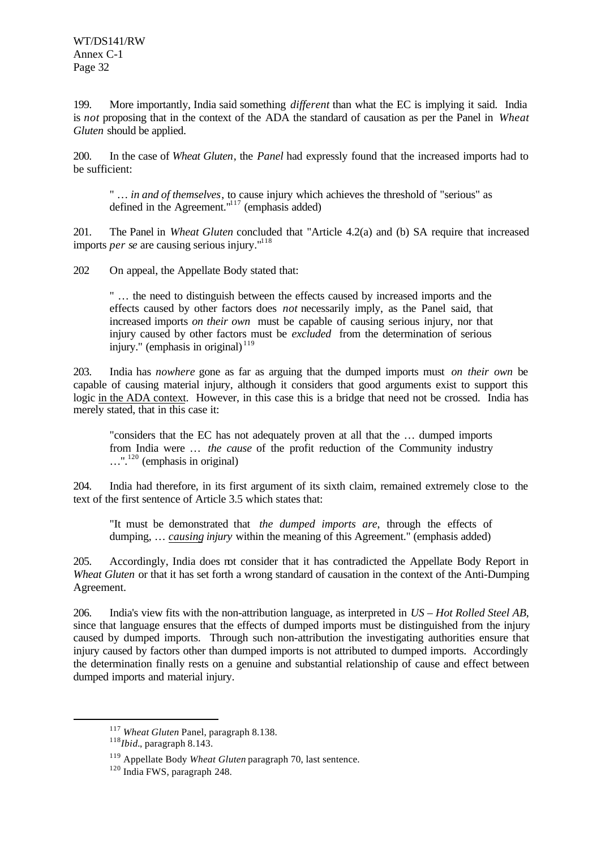199. More importantly, India said something *different* than what the EC is implying it said. India is *not* proposing that in the context of the ADA the standard of causation as per the Panel in *Wheat Gluten* should be applied.

200. In the case of *Wheat Gluten*, the *Panel* had expressly found that the increased imports had to be sufficient:

" … *in and of themselves*, to cause injury which achieves the threshold of "serious" as defined in the Agreement. $117$  (emphasis added)

201. The Panel in *Wheat Gluten* concluded that "Article 4.2(a) and (b) SA require that increased imports *per se* are causing serious injury."<sup>118</sup>

202 On appeal, the Appellate Body stated that:

" … the need to distinguish between the effects caused by increased imports and the effects caused by other factors does *not* necessarily imply, as the Panel said, that increased imports *on their own* must be capable of causing serious injury, nor that injury caused by other factors must be *excluded* from the determination of serious injury." (emphasis in original) $119$ 

203. India has *nowhere* gone as far as arguing that the dumped imports must *on their own* be capable of causing material injury, although it considers that good arguments exist to support this logic in the ADA context. However, in this case this is a bridge that need not be crossed. India has merely stated, that in this case it:

"considers that the EC has not adequately proven at all that the … dumped imports from India were … *the cause* of the profit reduction of the Community industry  $\ldots$ ".<sup>120</sup> (emphasis in original)

204. India had therefore, in its first argument of its sixth claim, remained extremely close to the text of the first sentence of Article 3.5 which states that:

"It must be demonstrated that *the dumped imports are*, through the effects of dumping, … *causing injury* within the meaning of this Agreement." (emphasis added)

205. Accordingly, India does mt consider that it has contradicted the Appellate Body Report in *Wheat Gluten* or that it has set forth a wrong standard of causation in the context of the Anti-Dumping Agreement.

206. India's view fits with the non-attribution language, as interpreted in *US – Hot Rolled Steel AB*, since that language ensures that the effects of dumped imports must be distinguished from the injury caused by dumped imports. Through such non-attribution the investigating authorities ensure that injury caused by factors other than dumped imports is not attributed to dumped imports. Accordingly the determination finally rests on a genuine and substantial relationship of cause and effect between dumped imports and material injury.

<sup>117</sup> *Wheat Gluten* Panel, paragraph 8.138.

<sup>118</sup>*Ibid.*, paragraph 8.143.

<sup>119</sup> Appellate Body *Wheat Gluten* paragraph 70, last sentence.

<sup>120</sup> India FWS, paragraph 248.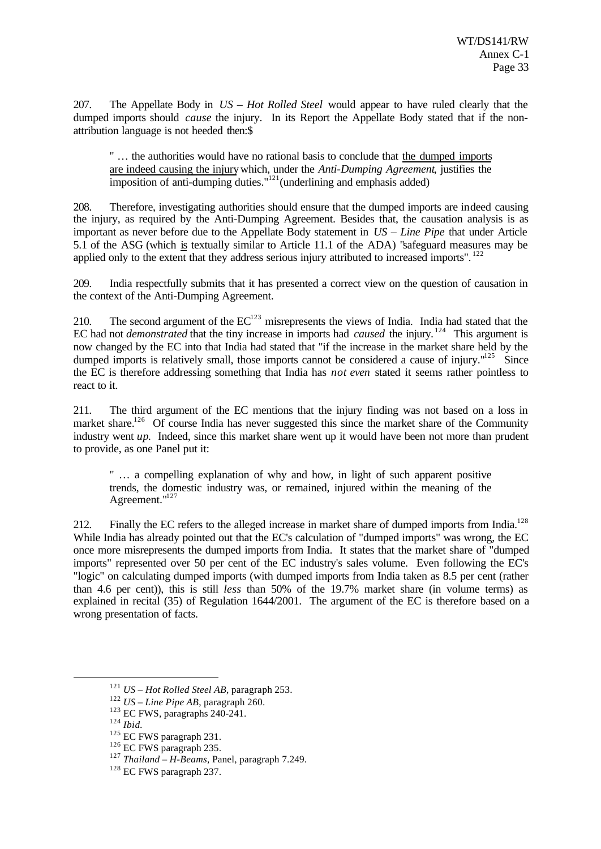207. The Appellate Body in *US – Hot Rolled Steel* would appear to have ruled clearly that the dumped imports should *cause* the injury. In its Report the Appellate Body stated that if the nonattribution language is not heeded then:\$

" … the authorities would have no rational basis to conclude that the dumped imports are indeed causing the injury which, under the *Anti-Dumping Agreement*, justifies the imposition of anti-dumping duties. $n^{121}$ (underlining and emphasis added)

208. Therefore, investigating authorities should ensure that the dumped imports are indeed causing the injury, as required by the Anti-Dumping Agreement. Besides that, the causation analysis is as important as never before due to the Appellate Body statement in *US – Line Pipe* that under Article 5.1 of the ASG (which is textually similar to Article 11.1 of the ADA) "safeguard measures may be applied only to the extent that they address serious injury attributed to increased imports". <sup>122</sup>

209. India respectfully submits that it has presented a correct view on the question of causation in the context of the Anti-Dumping Agreement.

210. The second argument of the  $EC^{123}$  misrepresents the views of India. India had stated that the EC had not *demonstrated* that the tiny increase in imports had *caused* the injury.<sup>124</sup> This argument is now changed by the EC into that India had stated that "if the increase in the market share held by the dumped imports is relatively small, those imports cannot be considered a cause of injury." $125$  Since the EC is therefore addressing something that India has *not even* stated it seems rather pointless to react to it.

211. The third argument of the EC mentions that the injury finding was not based on a loss in market share.<sup>126</sup> Of course India has never suggested this since the market share of the Community industry went *up*. Indeed, since this market share went up it would have been not more than prudent to provide, as one Panel put it:

" … a compelling explanation of why and how, in light of such apparent positive trends, the domestic industry was, or remained, injured within the meaning of the Agreement."<sup>127</sup>

212. Finally the EC refers to the alleged increase in market share of dumped imports from India.<sup>128</sup> While India has already pointed out that the EC's calculation of "dumped imports" was wrong, the EC once more misrepresents the dumped imports from India. It states that the market share of "dumped imports" represented over 50 per cent of the EC industry's sales volume. Even following the EC's "logic" on calculating dumped imports (with dumped imports from India taken as 8.5 per cent (rather than 4.6 per cent)), this is still *less* than 50% of the 19.7% market share (in volume terms) as explained in recital (35) of Regulation 1644/2001. The argument of the EC is therefore based on a wrong presentation of facts.

<sup>121</sup> *US – Hot Rolled Steel AB,* paragraph 253.

<sup>122</sup> *US – Line Pipe AB*, paragraph 260.

 $123$  EC FWS, paragraphs 240-241.

<sup>124</sup> *Ibid.*

<sup>&</sup>lt;sup>125</sup> EC FWS paragraph 231.

<sup>&</sup>lt;sup>126</sup> EC FWS paragraph 235.

<sup>127</sup> *Thailand – H-Beams*, Panel, paragraph 7.249.

<sup>&</sup>lt;sup>128</sup> EC FWS paragraph 237.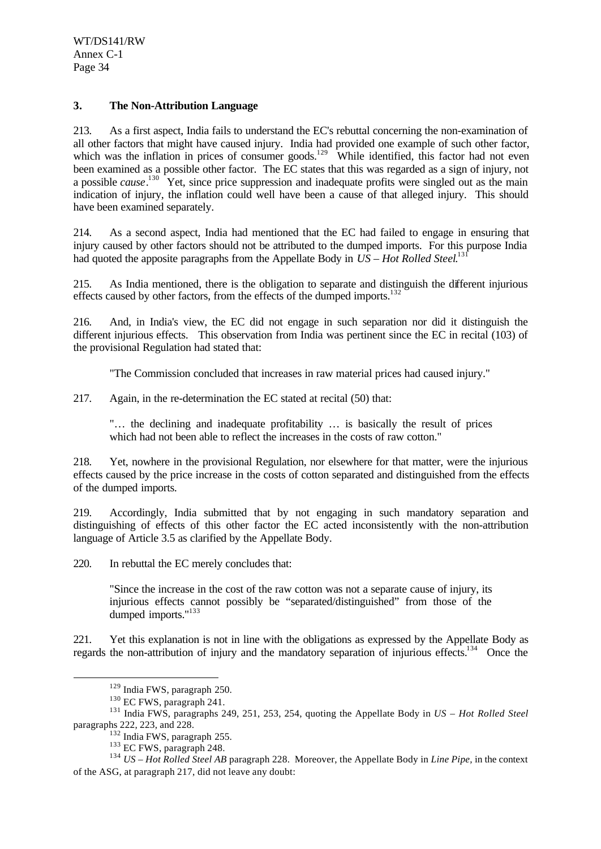WT/DS141/RW Annex C-1 Page 34

#### **3. The Non-Attribution Language**

213. As a first aspect, India fails to understand the EC's rebuttal concerning the non-examination of all other factors that might have caused injury. India had provided one example of such other factor, which was the inflation in prices of consumer goods.<sup>129</sup> While identified, this factor had not even been examined as a possible other factor. The EC states that this was regarded as a sign of injury, not a possible *cause*. <sup>130</sup> Yet, since price suppression and inadequate profits were singled out as the main indication of injury, the inflation could well have been a cause of that alleged injury. This should have been examined separately.

214. As a second aspect, India had mentioned that the EC had failed to engage in ensuring that injury caused by other factors should not be attributed to the dumped imports. For this purpose India had quoted the apposite paragraphs from the Appellate Body in  $\overline{US} - \overline{Hot}$  Rolled Steel.<sup>131</sup>

215. As India mentioned, there is the obligation to separate and distinguish the different injurious effects caused by other factors, from the effects of the dumped imports.<sup>132</sup>

216. And, in India's view, the EC did not engage in such separation nor did it distinguish the different injurious effects. This observation from India was pertinent since the EC in recital (103) of the provisional Regulation had stated that:

"The Commission concluded that increases in raw material prices had caused injury."

217. Again, in the re-determination the EC stated at recital (50) that:

"… the declining and inadequate profitability … is basically the result of prices which had not been able to reflect the increases in the costs of raw cotton."

218. Yet, nowhere in the provisional Regulation, nor elsewhere for that matter, were the injurious effects caused by the price increase in the costs of cotton separated and distinguished from the effects of the dumped imports.

219. Accordingly, India submitted that by not engaging in such mandatory separation and distinguishing of effects of this other factor the EC acted inconsistently with the non-attribution language of Article 3.5 as clarified by the Appellate Body.

220. In rebuttal the EC merely concludes that:

"Since the increase in the cost of the raw cotton was not a separate cause of injury, its injurious effects cannot possibly be "separated/distinguished" from those of the dumped imports."<sup>133</sup>

221. Yet this explanation is not in line with the obligations as expressed by the Appellate Body as regards the non-attribution of injury and the mandatory separation of injurious effects.<sup>134</sup> Once the

<sup>129</sup> India FWS, paragraph 250.

<sup>130</sup> EC FWS, paragraph 241.

<sup>131</sup> India FWS, paragraphs 249, 251, 253, 254, quoting the Appellate Body in *US – Hot Rolled Steel* paragraphs 222, 223, and 228.

<sup>&</sup>lt;sup>132</sup> India FWS, paragraph 255.

 $^{133}$  EC FWS, paragraph 248.

<sup>134</sup> *US – Hot Rolled Steel AB* paragraph 228. Moreover, the Appellate Body in *Line Pipe,* in the context of the ASG, at paragraph 217, did not leave any doubt: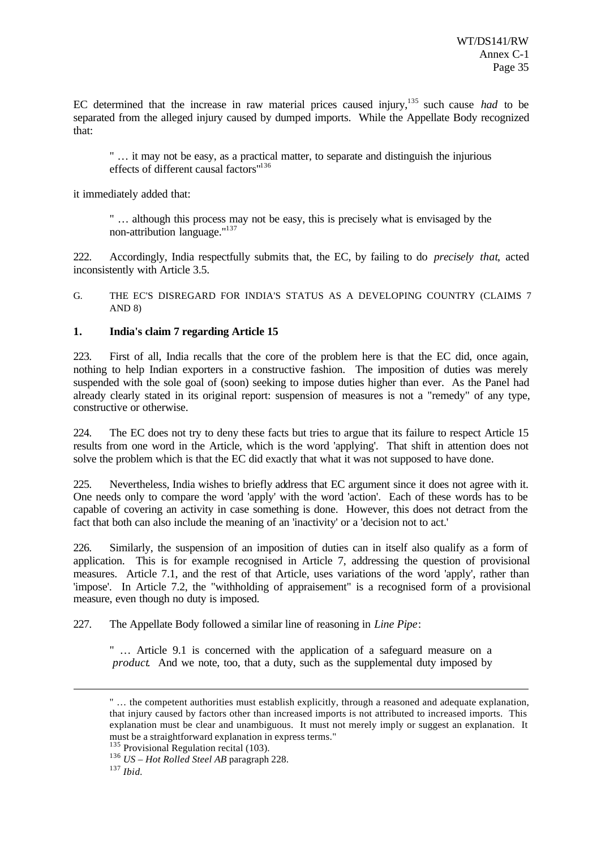EC determined that the increase in raw material prices caused injury,<sup>135</sup> such cause *had* to be separated from the alleged injury caused by dumped imports. While the Appellate Body recognized that:

" … it may not be easy, as a practical matter, to separate and distinguish the injurious effects of different causal factors<sup>"136</sup>

it immediately added that:

" … although this process may not be easy, this is precisely what is envisaged by the non-attribution language."<sup>137</sup>

222. Accordingly, India respectfully submits that, the EC, by failing to do *precisely that*, acted inconsistently with Article 3.5.

G. THE EC'S DISREGARD FOR INDIA'S STATUS AS A DEVELOPING COUNTRY (CLAIMS 7 AND 8)

#### **1. India's claim 7 regarding Article 15**

223. First of all, India recalls that the core of the problem here is that the EC did, once again, nothing to help Indian exporters in a constructive fashion. The imposition of duties was merely suspended with the sole goal of (soon) seeking to impose duties higher than ever. As the Panel had already clearly stated in its original report: suspension of measures is not a "remedy" of any type, constructive or otherwise.

224. The EC does not try to deny these facts but tries to argue that its failure to respect Article 15 results from one word in the Article, which is the word 'applying'. That shift in attention does not solve the problem which is that the EC did exactly that what it was not supposed to have done.

225. Nevertheless, India wishes to briefly address that EC argument since it does not agree with it. One needs only to compare the word 'apply' with the word 'action'. Each of these words has to be capable of covering an activity in case something is done. However, this does not detract from the fact that both can also include the meaning of an 'inactivity' or a 'decision not to act.'

226. Similarly, the suspension of an imposition of duties can in itself also qualify as a form of application. This is for example recognised in Article 7, addressing the question of provisional measures. Article 7.1, and the rest of that Article, uses variations of the word 'apply', rather than 'impose'. In Article 7.2, the "withholding of appraisement" is a recognised form of a provisional measure, even though no duty is imposed.

227. The Appellate Body followed a similar line of reasoning in *Line Pipe*:

" … Article 9.1 is concerned with the application of a safeguard measure on a *product*. And we note, too, that a duty, such as the supplemental duty imposed by

<sup>&</sup>quot; … the competent authorities must establish explicitly, through a reasoned and adequate explanation, that injury caused by factors other than increased imports is not attributed to increased imports. This explanation must be clear and unambiguous. It must not merely imply or suggest an explanation. It must be a straightforward explanation in express terms."

 $135$  Provisional Regulation recital (103).

<sup>136</sup> *US – Hot Rolled Steel AB* paragraph 228.

<sup>137</sup> *Ibid.*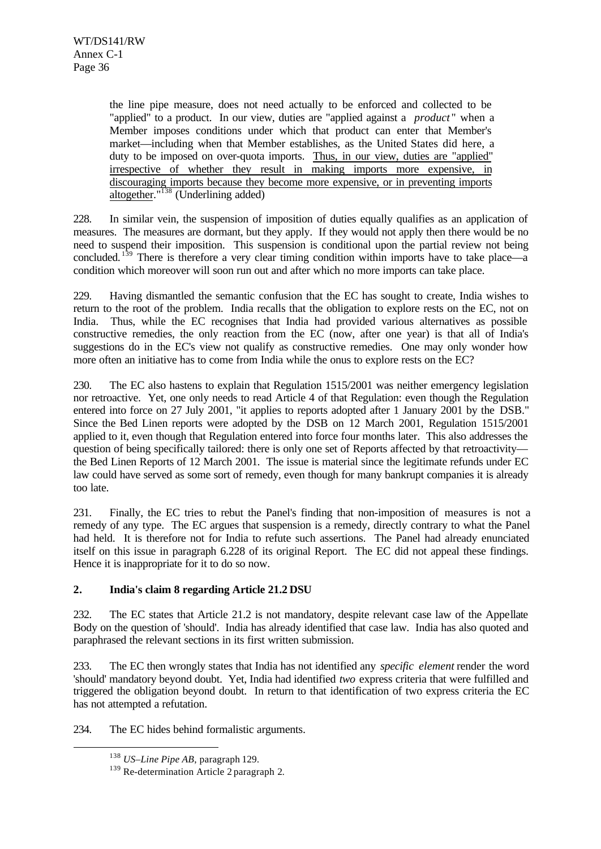the line pipe measure, does not need actually to be enforced and collected to be "applied" to a product. In our view, duties are "applied against a *product* " when a Member imposes conditions under which that product can enter that Member's market—including when that Member establishes, as the United States did here, a duty to be imposed on over-quota imports. Thus, in our view, duties are "applied" irrespective of whether they result in making imports more expensive, in discouraging imports because they become more expensive, or in preventing imports altogether."<sup>138</sup> (Underlining added)

228. In similar vein, the suspension of imposition of duties equally qualifies as an application of measures. The measures are dormant, but they apply. If they would not apply then there would be no need to suspend their imposition. This suspension is conditional upon the partial review not being concluded.<sup>139</sup> There is therefore a very clear timing condition within imports have to take place—a condition which moreover will soon run out and after which no more imports can take place.

229. Having dismantled the semantic confusion that the EC has sought to create, India wishes to return to the root of the problem. India recalls that the obligation to explore rests on the EC, not on India. Thus, while the EC recognises that India had provided various alternatives as possible constructive remedies, the only reaction from the EC (now, after one year) is that all of India's suggestions do in the EC's view not qualify as constructive remedies. One may only wonder how more often an initiative has to come from India while the onus to explore rests on the EC?

230. The EC also hastens to explain that Regulation 1515/2001 was neither emergency legislation nor retroactive. Yet, one only needs to read Article 4 of that Regulation: even though the Regulation entered into force on 27 July 2001, "it applies to reports adopted after 1 January 2001 by the DSB." Since the Bed Linen reports were adopted by the DSB on 12 March 2001, Regulation 1515/2001 applied to it, even though that Regulation entered into force four months later. This also addresses the question of being specifically tailored: there is only one set of Reports affected by that retroactivity the Bed Linen Reports of 12 March 2001. The issue is material since the legitimate refunds under EC law could have served as some sort of remedy, even though for many bankrupt companies it is already too late.

231. Finally, the EC tries to rebut the Panel's finding that non-imposition of measures is not a remedy of any type. The EC argues that suspension is a remedy, directly contrary to what the Panel had held. It is therefore not for India to refute such assertions. The Panel had already enunciated itself on this issue in paragraph 6.228 of its original Report. The EC did not appeal these findings. Hence it is inappropriate for it to do so now.

## **2. India's claim 8 regarding Article 21.2 DSU**

232. The EC states that Article 21.2 is not mandatory, despite relevant case law of the Appellate Body on the question of 'should'. India has already identified that case law. India has also quoted and paraphrased the relevant sections in its first written submission.

233. The EC then wrongly states that India has not identified any *specific element* render the word 'should' mandatory beyond doubt. Yet, India had identified *two* express criteria that were fulfilled and triggered the obligation beyond doubt. In return to that identification of two express criteria the EC has not attempted a refutation.

234. The EC hides behind formalistic arguments.

<sup>138</sup> *US–Line Pipe AB*, paragraph 129.

<sup>&</sup>lt;sup>139</sup> Re-determination Article 2 paragraph 2.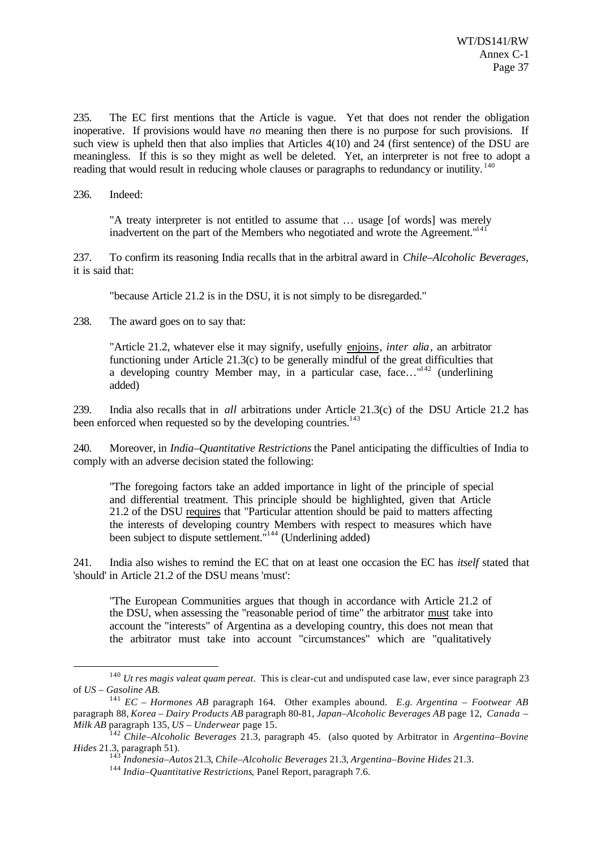235. The EC first mentions that the Article is vague. Yet that does not render the obligation inoperative*.* If provisions would have *no* meaning then there is no purpose for such provisions. If such view is upheld then that also implies that Articles 4(10) and 24 (first sentence) of the DSU are meaningless. If this is so they might as well be deleted. Yet, an interpreter is not free to adopt a reading that would result in reducing whole clauses or paragraphs to redundancy or inutility.<sup>140</sup>

236. Indeed:

l

"A treaty interpreter is not entitled to assume that … usage [of words] was merely inadvertent on the part of the Members who negotiated and wrote the Agreement."<sup>141</sup>

237. To confirm its reasoning India recalls that in the arbitral award in *Chile–Alcoholic Beverages,* it is said that:

"because Article 21.2 is in the DSU, it is not simply to be disregarded."

238. The award goes on to say that:

"Article 21.2, whatever else it may signify, usefully enjoins, *inter alia*, an arbitrator functioning under Article 21.3(c) to be generally mindful of the great difficulties that a developing country Member may, in a particular case, face…"<sup>142</sup> (underlining added)

239. India also recalls that in *all* arbitrations under Article 21.3(c) of the DSU Article 21.2 has been enforced when requested so by the developing countries.<sup>143</sup>

240. Moreover, in *India–Quantitative Restrictions* the Panel anticipating the difficulties of India to comply with an adverse decision stated the following:

"The foregoing factors take an added importance in light of the principle of special and differential treatment. This principle should be highlighted, given that Article 21.2 of the DSU requires that "Particular attention should be paid to matters affecting the interests of developing country Members with respect to measures which have been subject to dispute settlement."<sup>144</sup> (Underlining added)

241. India also wishes to remind the EC that on at least one occasion the EC has *itself* stated that 'should' in Article 21.2 of the DSU means 'must':

"The European Communities argues that though in accordance with Article 21.2 of the DSU, when assessing the "reasonable period of time" the arbitrator must take into account the "interests" of Argentina as a developing country, this does not mean that the arbitrator must take into account "circumstances" which are "qualitatively

<sup>140</sup> *Ut res magis valeat quam pereat*. This is clear-cut and undisputed case law, ever since paragraph 23 of *US – Gasoline AB.*

<sup>141</sup> *EC – Hormones AB* paragraph 164. Other examples abound. *E.g. Argentina – Footwear AB* paragraph 88, *Korea – Dairy Products AB* paragraph 80-81, *Japan–Alcoholic Beverages AB* page 12, *Canada – Milk AB* paragraph 135, *US – Underwear* page 15.

<sup>142</sup> *Chile–Alcoholic Beverages* 21.3, paragraph 45. (also quoted by Arbitrator in *Argentina–Bovine Hides* 21.3, paragraph 51).

<sup>143</sup> *Indonesia–Autos* 21.3, *Chile–Alcoholic Beverages* 21.3, *Argentina–Bovine Hides* 21.3.

<sup>144</sup> *India–Quantitative Restrictions*, Panel Report, paragraph 7.6.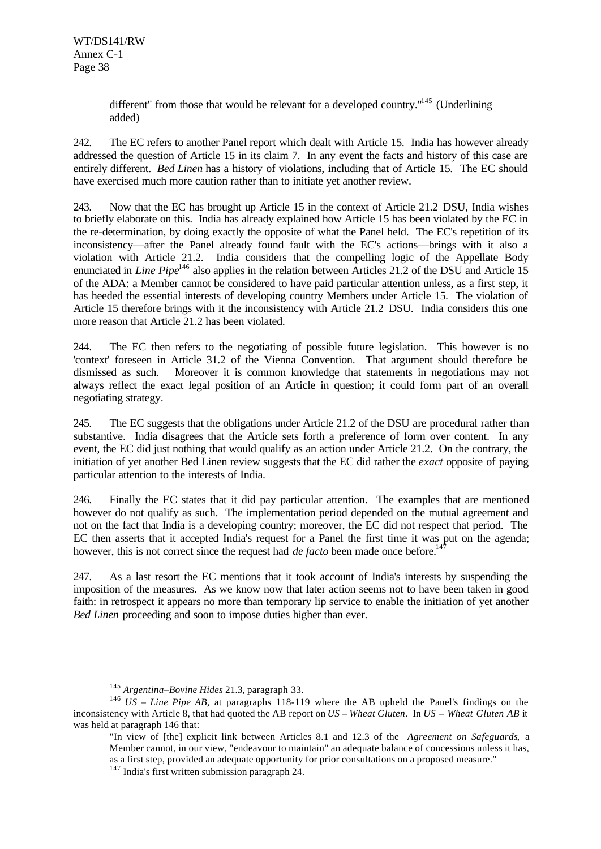different" from those that would be relevant for a developed country."<sup>145</sup> (Underlining added)

242. The EC refers to another Panel report which dealt with Article 15. India has however already addressed the question of Article 15 in its claim 7. In any event the facts and history of this case are entirely different. *Bed Linen* has a history of violations, including that of Article 15. The EC should have exercised much more caution rather than to initiate yet another review.

243. Now that the EC has brought up Article 15 in the context of Article 21.2 DSU, India wishes to briefly elaborate on this. India has already explained how Article 15 has been violated by the EC in the re-determination, by doing exactly the opposite of what the Panel held. The EC's repetition of its inconsistency—after the Panel already found fault with the EC's actions—brings with it also a violation with Article 21.2. India considers that the compelling logic of the Appellate Body enunciated in *Line Pipe*<sup>146</sup> also applies in the relation between Articles 21.2 of the DSU and Article 15 of the ADA: a Member cannot be considered to have paid particular attention unless, as a first step, it has heeded the essential interests of developing country Members under Article 15. The violation of Article 15 therefore brings with it the inconsistency with Article 21.2 DSU. India considers this one more reason that Article 21.2 has been violated.

244. The EC then refers to the negotiating of possible future legislation. This however is no 'context' foreseen in Article 31.2 of the Vienna Convention. That argument should therefore be dismissed as such. Moreover it is common knowledge that statements in negotiations may not always reflect the exact legal position of an Article in question; it could form part of an overall negotiating strategy.

245. The EC suggests that the obligations under Article 21.2 of the DSU are procedural rather than substantive. India disagrees that the Article sets forth a preference of form over content. In any event, the EC did just nothing that would qualify as an action under Article 21.2. On the contrary, the initiation of yet another Bed Linen review suggests that the EC did rather the *exact* opposite of paying particular attention to the interests of India.

246. Finally the EC states that it did pay particular attention. The examples that are mentioned however do not qualify as such. The implementation period depended on the mutual agreement and not on the fact that India is a developing country; moreover, the EC did not respect that period. The EC then asserts that it accepted India's request for a Panel the first time it was put on the agenda; however, this is not correct since the request had *de facto* been made once before.<sup>1</sup>

247. As a last resort the EC mentions that it took account of India's interests by suspending the imposition of the measures. As we know now that later action seems not to have been taken in good faith: in retrospect it appears no more than temporary lip service to enable the initiation of yet another *Bed Linen* proceeding and soon to impose duties higher than ever.

<sup>145</sup> *Argentina–Bovine Hides* 21.3, paragraph 33.

<sup>&</sup>lt;sup>146</sup> *US – Line Pipe AB*, at paragraphs 118-119 where the AB upheld the Panel's findings on the inconsistency with Article 8, that had quoted the AB report on *US – Wheat Gluten*. In *US – Wheat Gluten AB* it was held at paragraph 146 that:

<sup>&</sup>quot;In view of [the] explicit link between Articles 8.1 and 12.3 of the *Agreement on Safeguards*, a Member cannot, in our view, "endeavour to maintain" an adequate balance of concessions unless it has, as a first step, provided an adequate opportunity for prior consultations on a proposed measure."

<sup>&</sup>lt;sup>147</sup> India's first written submission paragraph 24.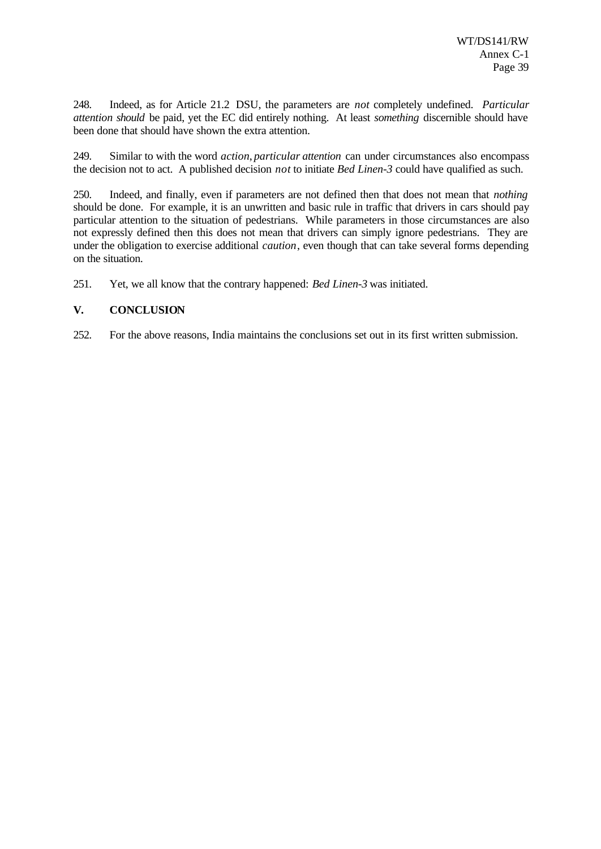248. Indeed, as for Article 21.2 DSU, the parameters are *not* completely undefined. *Particular attention should* be paid, yet the EC did entirely nothing. At least *something* discernible should have been done that should have shown the extra attention.

249. Similar to with the word *action*, *particular attention* can under circumstances also encompass the decision not to act. A published decision *not* to initiate *Bed Linen-3* could have qualified as such.

250. Indeed, and finally, even if parameters are not defined then that does not mean that *nothing* should be done. For example, it is an unwritten and basic rule in traffic that drivers in cars should pay particular attention to the situation of pedestrians. While parameters in those circumstances are also not expressly defined then this does not mean that drivers can simply ignore pedestrians. They are under the obligation to exercise additional *caution*, even though that can take several forms depending on the situation.

251. Yet, we all know that the contrary happened: *Bed Linen-3* was initiated.

## **V. CONCLUSION**

252. For the above reasons, India maintains the conclusions set out in its first written submission.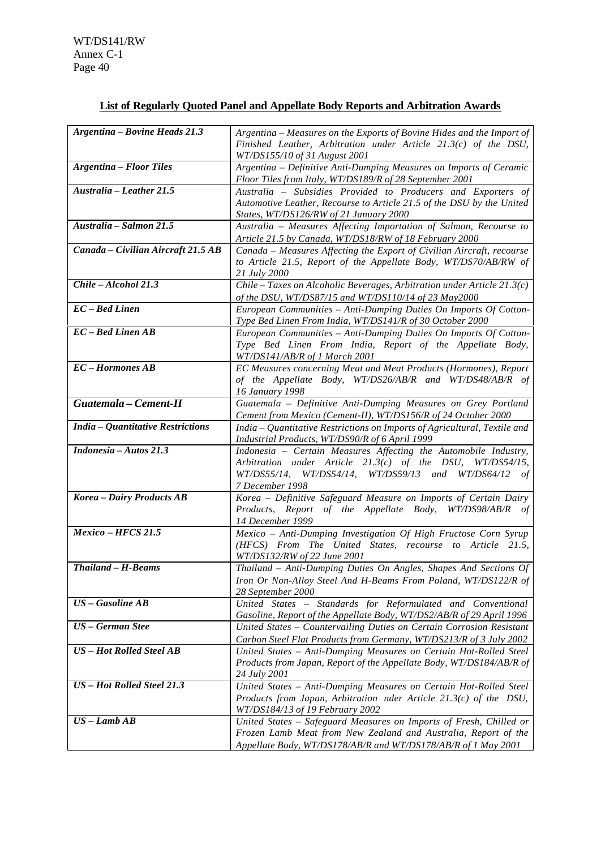## **List of Regularly Quoted Panel and Appellate Body Reports and Arbitration Awards**

| Argentina - Bovine Heads 21.3            | Argentina - Measures on the Exports of Bovine Hides and the Import of     |
|------------------------------------------|---------------------------------------------------------------------------|
|                                          | Finished Leather, Arbitration under Article $21.3(c)$ of the DSU,         |
|                                          | WT/DS155/10 of 31 August 2001                                             |
| <b>Argentina - Floor Tiles</b>           | Argentina - Definitive Anti-Dumping Measures on Imports of Ceramic        |
|                                          | Floor Tiles from Italy, WT/DS189/R of 28 September 2001                   |
| Australia - Leather 21.5                 | Australia - Subsidies Provided to Producers and Exporters of              |
|                                          | Automotive Leather, Recourse to Article 21.5 of the DSU by the United     |
|                                          | States, WT/DS126/RW of 21 January 2000                                    |
| Australia - Salmon 21.5                  | Australia - Measures Affecting Importation of Salmon, Recourse to         |
|                                          | Article 21.5 by Canada, WT/DS18/RW of 18 February 2000                    |
| Canada - Civilian Aircraft 21.5 AB       | Canada - Measures Affecting the Export of Civilian Aircraft, recourse     |
|                                          | to Article 21.5, Report of the Appellate Body, WT/DS70/AB/RW of           |
|                                          | 21 July 2000                                                              |
| Chile - Alcohol 21.3                     | Chile – Taxes on Alcoholic Beverages, Arbitration under Article $21.3(c)$ |
|                                          |                                                                           |
|                                          | of the DSU, WT/DS87/15 and WT/DS110/14 of 23 May2000                      |
| EC - Bed Linen                           | European Communities - Anti-Dumping Duties On Imports Of Cotton-          |
|                                          | Type Bed Linen From India, WT/DS141/R of 30 October 2000                  |
| <b>EC</b> - Bed Linen AB                 | European Communities - Anti-Dumping Duties On Imports Of Cotton-          |
|                                          | Type Bed Linen From India, Report of the Appellate Body,                  |
|                                          | WT/DS141/AB/R of 1 March 2001                                             |
| <b>EC</b> - Hormones AB                  | EC Measures concerning Meat and Meat Products (Hormones), Report          |
|                                          | of the Appellate Body, WT/DS26/AB/R and WT/DS48/AB/R of                   |
|                                          | 16 January 1998                                                           |
| Guatemala - Cement-II                    | Guatemala - Definitive Anti-Dumping Measures on Grey Portland             |
|                                          | Cement from Mexico (Cement-II), WT/DS156/R of 24 October 2000             |
| <b>India – Quantitative Restrictions</b> | India - Quantitative Restrictions on Imports of Agricultural, Textile and |
|                                          | Industrial Products, WT/DS90/R of 6 April 1999                            |
| Indonesia - Autos 21.3                   | Indonesia - Certain Measures Affecting the Automobile Industry,           |
|                                          | Arbitration under Article $21.3(c)$ of the DSU, WT/DS54/15,               |
|                                          | WT/DS55/14, WT/DS54/14, WT/DS59/13 and WT/DS64/12<br>of                   |
|                                          | 7 December 1998                                                           |
| Korea - Dairy Products AB                | Korea - Definitive Safeguard Measure on Imports of Certain Dairy          |
|                                          | Products, Report of the Appellate Body, WT/DS98/AB/R of                   |
|                                          | 14 December 1999                                                          |
| $\overline{M}$ exico - HFCS 21.5         | Mexico - Anti-Dumping Investigation Of High Fructose Corn Syrup           |
|                                          |                                                                           |
|                                          | (HFCS) From The United States, recourse to Article 21.5,                  |
| Thailand - H-Beams                       | WT/DS132/RW of 22 June 2001                                               |
|                                          | Thailand - Anti-Dumping Duties On Angles, Shapes And Sections Of          |
|                                          | Iron Or Non-Alloy Steel And H-Beams From Poland, WT/DS122/R of            |
|                                          | 28 September 2000                                                         |
| $US - Gasoline AB$                       | United States - Standards for Reformulated and Conventional               |
|                                          | Gasoline, Report of the Appellate Body, WT/DS2/AB/R of 29 April 1996      |
| US - German Stee                         | United States - Countervailing Duties on Certain Corrosion Resistant      |
|                                          | Carbon Steel Flat Products from Germany, WT/DS213/R of 3 July 2002        |
| US - Hot Rolled Steel AB                 | United States - Anti-Dumping Measures on Certain Hot-Rolled Steel         |
|                                          | Products from Japan, Report of the Appellate Body, WT/DS184/AB/R of       |
|                                          | 24 July 2001                                                              |
| US - Hot Rolled Steel 21.3               | United States - Anti-Dumping Measures on Certain Hot-Rolled Steel         |
|                                          | Products from Japan, Arbitration nder Article $21.3(c)$ of the DSU,       |
|                                          | WT/DS184/13 of 19 February 2002                                           |
| $US$ – Lamb $AB$                         | United States - Safeguard Measures on Imports of Fresh, Chilled or        |
|                                          | Frozen Lamb Meat from New Zealand and Australia, Report of the            |
|                                          | Appellate Body, WT/DS178/AB/R and WT/DS178/AB/R of 1 May 2001             |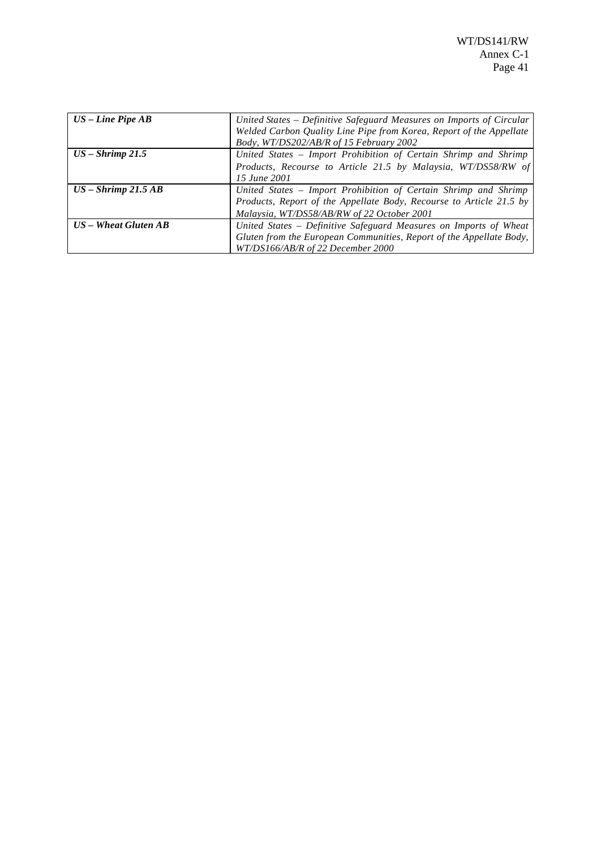| $US$ – Line Pipe AB    | United States – Definitive Safeguard Measures on Imports of Circular |
|------------------------|----------------------------------------------------------------------|
|                        | Welded Carbon Quality Line Pipe from Korea, Report of the Appellate  |
|                        | Body, WT/DS202/AB/R of 15 February 2002                              |
| $US - Shrimp$ 21.5     | United States - Import Prohibition of Certain Shrimp and Shrimp      |
|                        | Products, Recourse to Article 21.5 by Malaysia, WT/DS58/RW of        |
|                        | 15 June 2001                                                         |
| $US - Shrimp$ 21.5 AB  | United States – Import Prohibition of Certain Shrimp and Shrimp      |
|                        | Products, Report of the Appellate Body, Recourse to Article 21.5 by  |
|                        | Malaysia, WT/DS58/AB/RW of 22 October 2001                           |
| $US$ – Wheat Gluten AB | United States - Definitive Safeguard Measures on Imports of Wheat    |
|                        | Gluten from the European Communities, Report of the Appellate Body,  |
|                        | WT/DS166/AB/R of 22 December 2000                                    |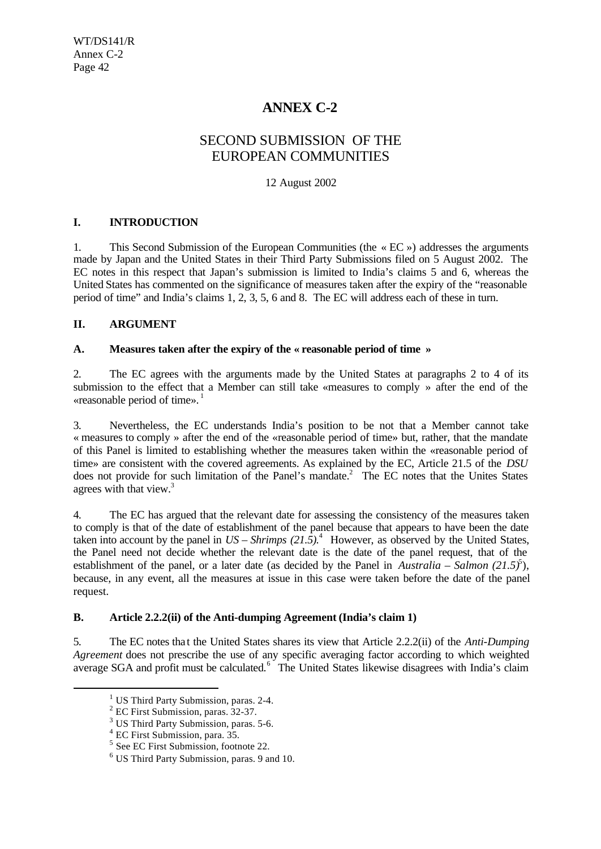# **ANNEX C-2**

# SECOND SUBMISSION OF THE EUROPEAN COMMUNITIES

## 12 August 2002

## **I. INTRODUCTION**

1. This Second Submission of the European Communities (the « EC ») addresses the arguments made by Japan and the United States in their Third Party Submissions filed on 5 August 2002. The EC notes in this respect that Japan's submission is limited to India's claims 5 and 6, whereas the United States has commented on the significance of measures taken after the expiry of the "reasonable period of time" and India's claims 1, 2, 3, 5, 6 and 8. The EC will address each of these in turn.

#### **II. ARGUMENT**

#### **A. Measures taken after the expiry of the « reasonable period of time »**

2. The EC agrees with the arguments made by the United States at paragraphs 2 to 4 of its submission to the effect that a Member can still take «measures to comply » after the end of the «reasonable period of time».<sup>1</sup>

3. Nevertheless, the EC understands India's position to be not that a Member cannot take « measures to comply » after the end of the «reasonable period of time» but, rather, that the mandate of this Panel is limited to establishing whether the measures taken within the «reasonable period of time» are consistent with the covered agreements. As explained by the EC, Article 21.5 of the *DSU* does not provide for such limitation of the Panel's mandate.<sup>2</sup> The EC notes that the Unites States agrees with that view.<sup>3</sup>

4. The EC has argued that the relevant date for assessing the consistency of the measures taken to comply is that of the date of establishment of the panel because that appears to have been the date taken into account by the panel in  $US - Shrimps$  (21.5).<sup>4</sup> However, as observed by the United States, the Panel need not decide whether the relevant date is the date of the panel request, that of the establishment of the panel, or a later date (as decided by the Panel in *Australia – Salmon*  $(21.5)^5$ ), because, in any event, all the measures at issue in this case were taken before the date of the panel request.

#### **B. Article 2.2.2(ii) of the Anti-dumping Agreement (India's claim 1)**

5. The EC notes that the United States shares its view that Article 2.2.2(ii) of the *Anti-Dumping Agreement* does not prescribe the use of any specific averaging factor according to which weighted average SGA and profit must be calculated.<sup>6</sup> The United States likewise disagrees with India's claim

<sup>&</sup>lt;sup>1</sup> US Third Party Submission, paras. 2-4.

<sup>&</sup>lt;sup>2</sup> EC First Submission, paras. 32-37.

<sup>&</sup>lt;sup>3</sup> US Third Party Submission, paras. 5-6.

<sup>4</sup> EC First Submission, para. 35.

<sup>5</sup> See EC First Submission, footnote 22.

<sup>6</sup> US Third Party Submission, paras. 9 and 10.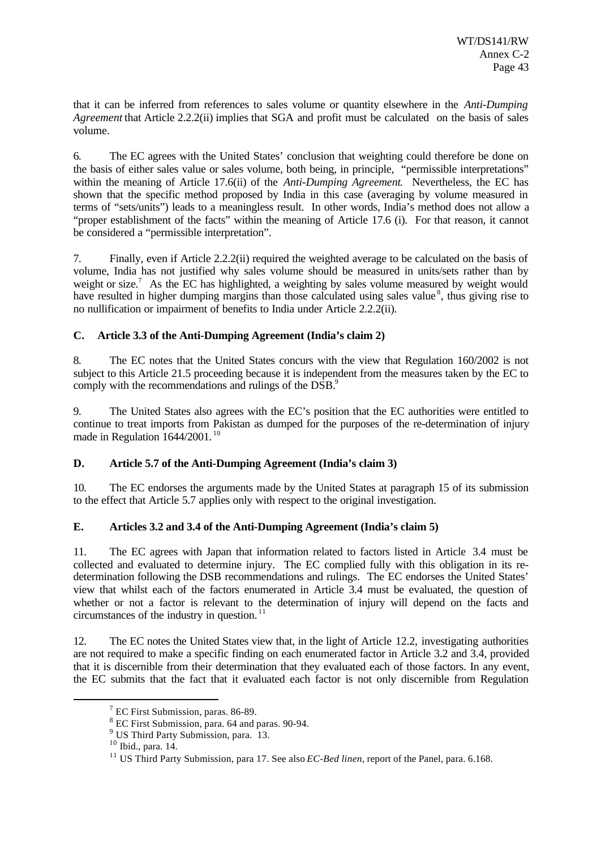that it can be inferred from references to sales volume or quantity elsewhere in the *Anti-Dumping Agreement* that Article 2.2.2(ii) implies that SGA and profit must be calculated on the basis of sales volume.

6. The EC agrees with the United States' conclusion that weighting could therefore be done on the basis of either sales value or sales volume, both being, in principle, "permissible interpretations" within the meaning of Article 17.6(ii) of the *Anti-Dumping Agreement*. Nevertheless, the EC has shown that the specific method proposed by India in this case (averaging by volume measured in terms of "sets/units") leads to a meaningless result. In other words, India's method does not allow a "proper establishment of the facts" within the meaning of Article 17.6 (i). For that reason, it cannot be considered a "permissible interpretation".

7. Finally, even if Article 2.2.2(ii) required the weighted average to be calculated on the basis of volume, India has not justified why sales volume should be measured in units/sets rather than by weight or size.<sup>7</sup> As the EC has highlighted, a weighting by sales volume measured by weight would have resulted in higher dumping margins than those calculated using sales value<sup>8</sup>, thus giving rise to no nullification or impairment of benefits to India under Article 2.2.2(ii).

## **C. Article 3.3 of the Anti-Dumping Agreement (India's claim 2)**

8. The EC notes that the United States concurs with the view that Regulation 160/2002 is not subject to this Article 21.5 proceeding because it is independent from the measures taken by the EC to comply with the recommendations and rulings of the DSB.<sup>9</sup>

9. The United States also agrees with the EC's position that the EC authorities were entitled to continue to treat imports from Pakistan as dumped for the purposes of the re-determination of injury made in Regulation 1644/2001.<sup>10</sup>

## **D. Article 5.7 of the Anti-Dumping Agreement (India's claim 3)**

10. The EC endorses the arguments made by the United States at paragraph 15 of its submission to the effect that Article 5.7 applies only with respect to the original investigation.

## **E. Articles 3.2 and 3.4 of the Anti-Dumping Agreement (India's claim 5)**

11. The EC agrees with Japan that information related to factors listed in Article 3.4 must be collected and evaluated to determine injury. The EC complied fully with this obligation in its redetermination following the DSB recommendations and rulings. The EC endorses the United States' view that whilst each of the factors enumerated in Article 3.4 must be evaluated, the question of whether or not a factor is relevant to the determination of injury will depend on the facts and circumstances of the industry in question.<sup>11</sup>

12. The EC notes the United States view that, in the light of Article 12.2, investigating authorities are not required to make a specific finding on each enumerated factor in Article 3.2 and 3.4, provided that it is discernible from their determination that they evaluated each of those factors. In any event, the EC submits that the fact that it evaluated each factor is not only discernible from Regulation

 $7$  EC First Submission, paras. 86-89.

<sup>&</sup>lt;sup>8</sup> EC First Submission, para. 64 and paras. 90-94.

<sup>&</sup>lt;sup>9</sup> US Third Party Submission, para. 13.

<sup>10</sup> Ibid., para. 14.

<sup>&</sup>lt;sup>11</sup> US Third Party Submission, para 17. See also *EC-Bed linen*, report of the Panel, para. 6.168.